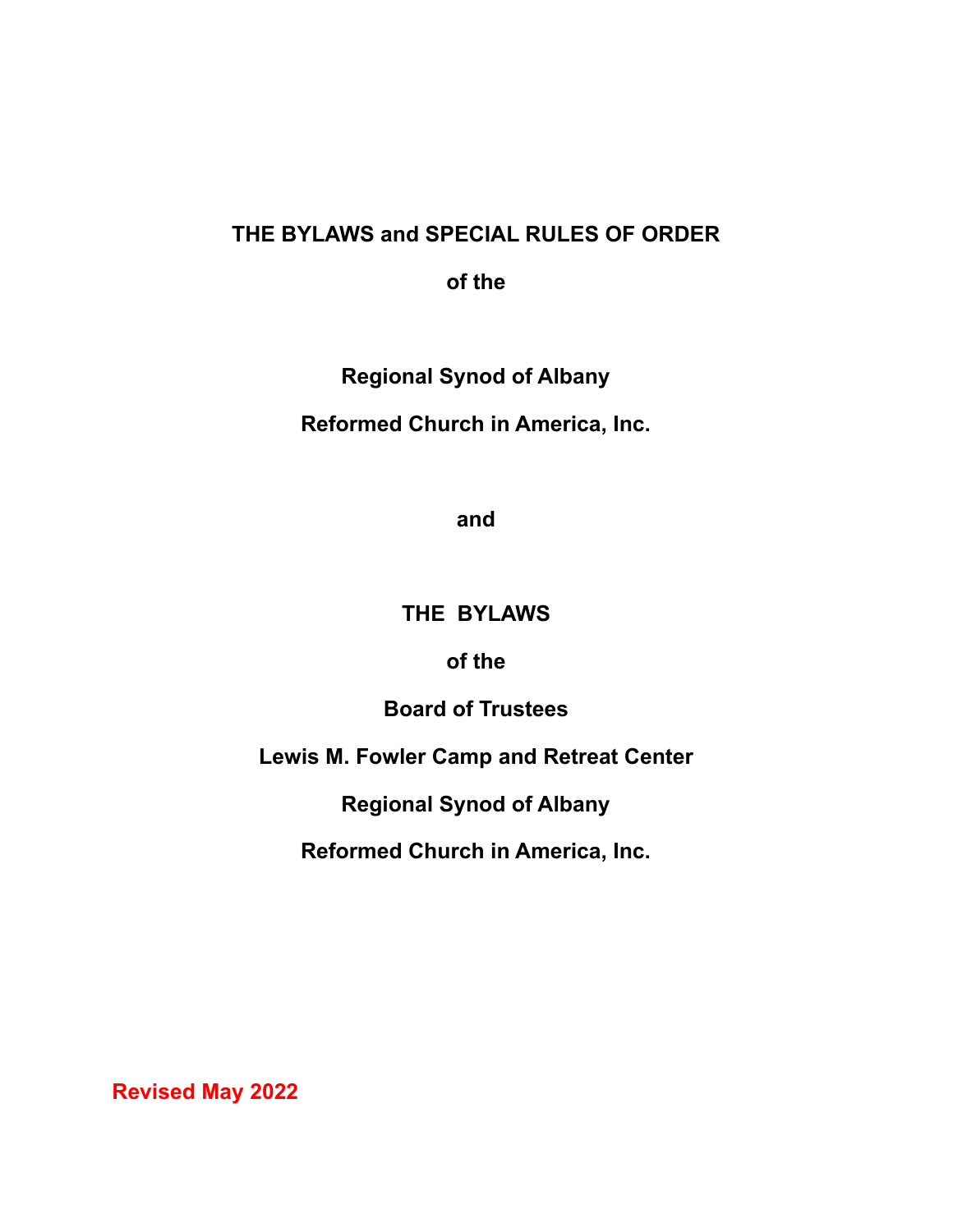## **THE BYLAWS and SPECIAL RULES OF ORDER**

**of the**

**Regional Synod of Albany**

**Reformed Church in America, Inc.**

**and**

## **THE BYLAWS**

**of the**

**Board of Trustees**

**Lewis M. Fowler Camp and Retreat Center**

**Regional Synod of Albany**

**Reformed Church in America, Inc.**

**Revised May 2022**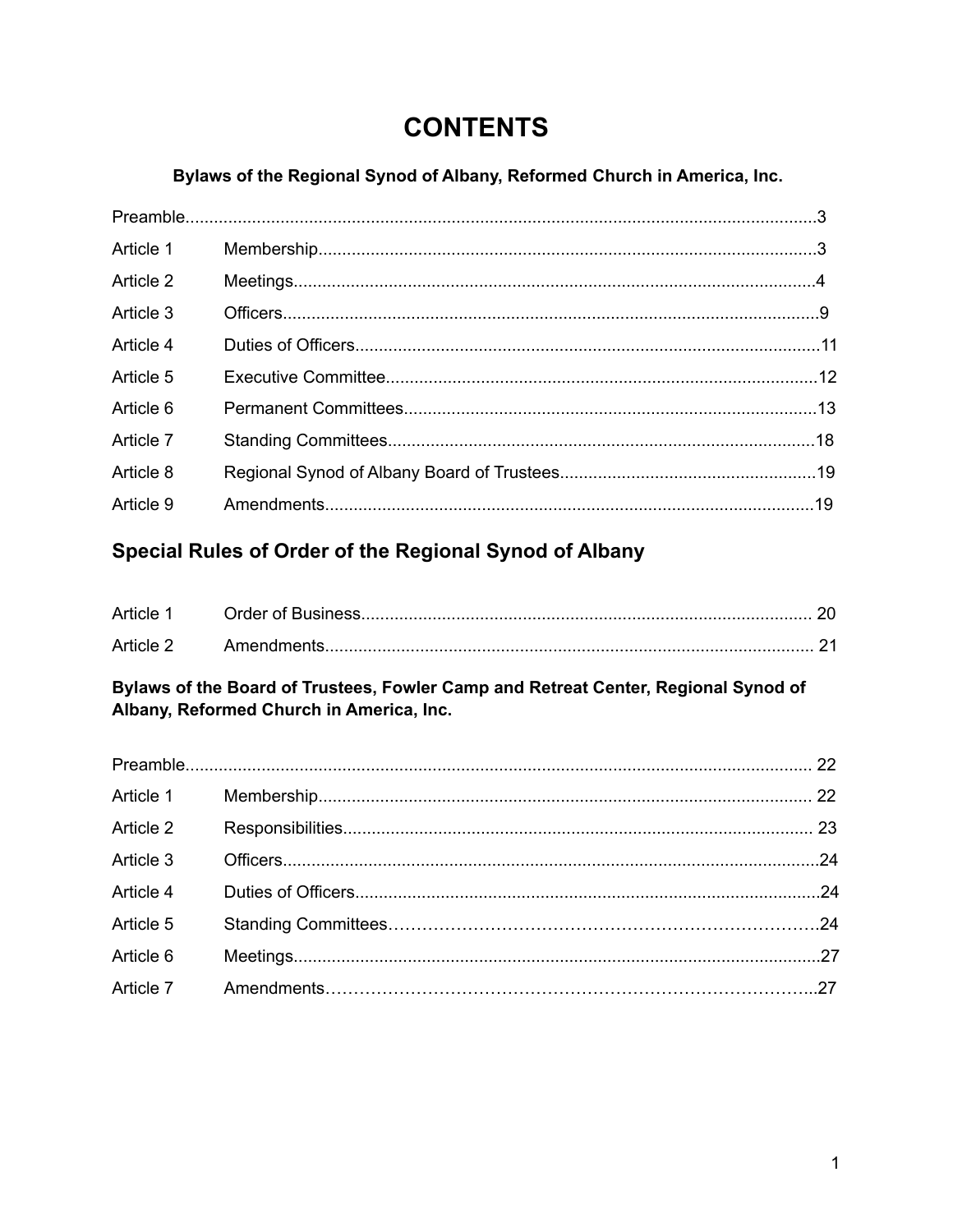# **CONTENTS**

## Bylaws of the Regional Synod of Albany, Reformed Church in America, Inc.

| Article 1 |  |
|-----------|--|
| Article 2 |  |
| Article 3 |  |
| Article 4 |  |
| Article 5 |  |
| Article 6 |  |
| Article 7 |  |
| Article 8 |  |
| Article 9 |  |
|           |  |

## Special Rules of Order of the Regional Synod of Albany

| Article 1 |              |  |
|-----------|--------------|--|
| Article 2 | – Amendments |  |

## Bylaws of the Board of Trustees, Fowler Camp and Retreat Center, Regional Synod of Albany, Reformed Church in America, Inc.

| Article 1 |  |
|-----------|--|
| Article 2 |  |
| Article 3 |  |
| Article 4 |  |
| Article 5 |  |
| Article 6 |  |
|           |  |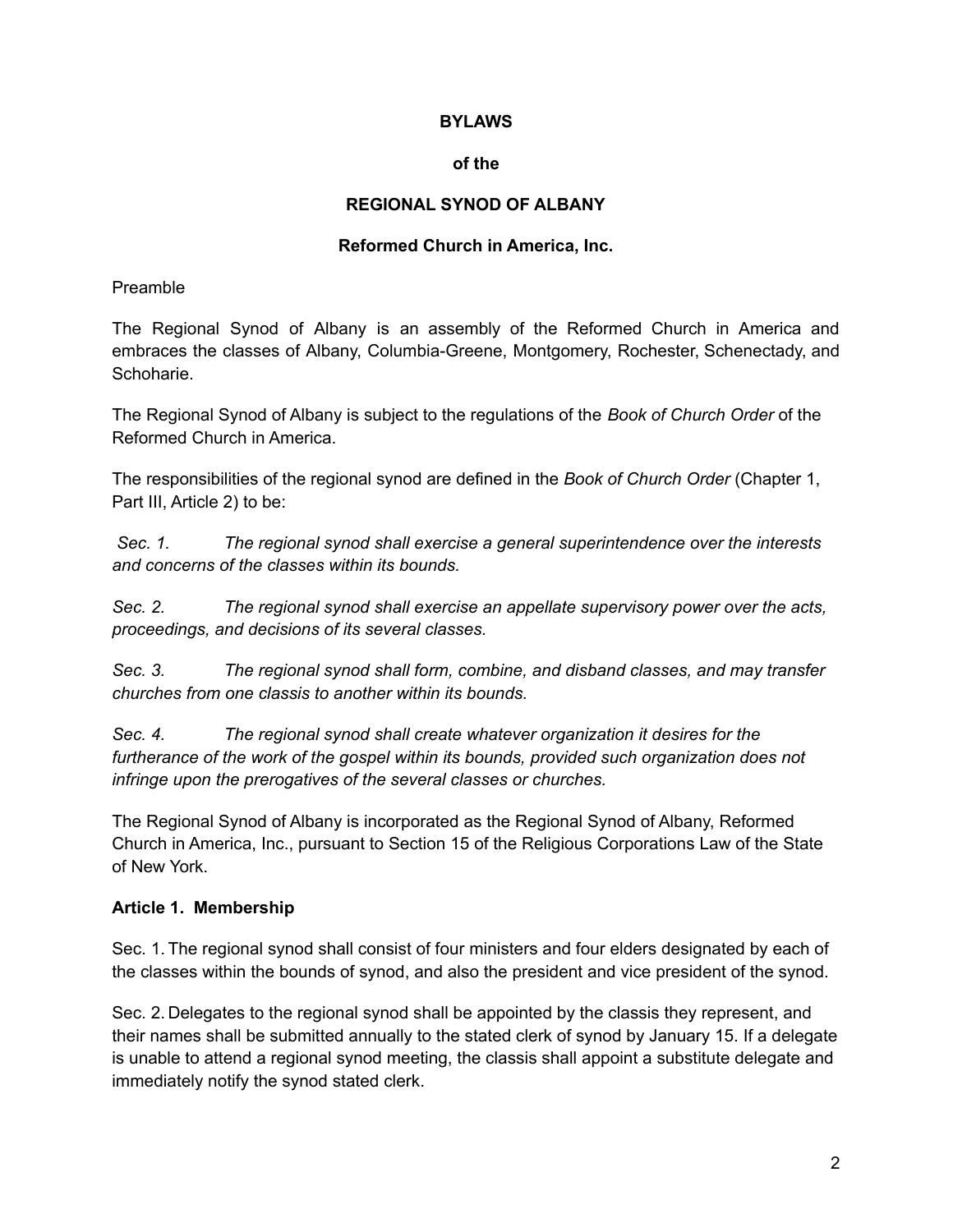#### **BYLAWS**

#### **of the**

#### **REGIONAL SYNOD OF ALBANY**

#### **Reformed Church in America, Inc.**

#### Preamble

The Regional Synod of Albany is an assembly of the Reformed Church in America and embraces the classes of Albany, Columbia-Greene, Montgomery, Rochester, Schenectady, and Schoharie.

The Regional Synod of Albany is subject to the regulations of the *Book of Church Order* of the Reformed Church in America.

The responsibilities of the regional synod are defined in the *Book of Church Order* (Chapter 1, Part III, Article 2) to be:

*Sec. 1. The regional synod shall exercise a general superintendence over the interests and concerns of the classes within its bounds.*

*Sec. 2. The regional synod shall exercise an appellate supervisory power over the acts, proceedings, and decisions of its several classes.*

*Sec. 3. The regional synod shall form, combine, and disband classes, and may transfer churches from one classis to another within its bounds.*

*Sec. 4. The regional synod shall create whatever organization it desires for the furtherance of the work of the gospel within its bounds, provided such organization does not infringe upon the prerogatives of the several classes or churches.*

The Regional Synod of Albany is incorporated as the Regional Synod of Albany, Reformed Church in America, Inc., pursuant to Section 15 of the Religious Corporations Law of the State of New York.

#### **Article 1. Membership**

Sec. 1. The regional synod shall consist of four ministers and four elders designated by each of the classes within the bounds of synod, and also the president and vice president of the synod.

Sec. 2. Delegates to the regional synod shall be appointed by the classis they represent, and their names shall be submitted annually to the stated clerk of synod by January 15. If a delegate is unable to attend a regional synod meeting, the classis shall appoint a substitute delegate and immediately notify the synod stated clerk.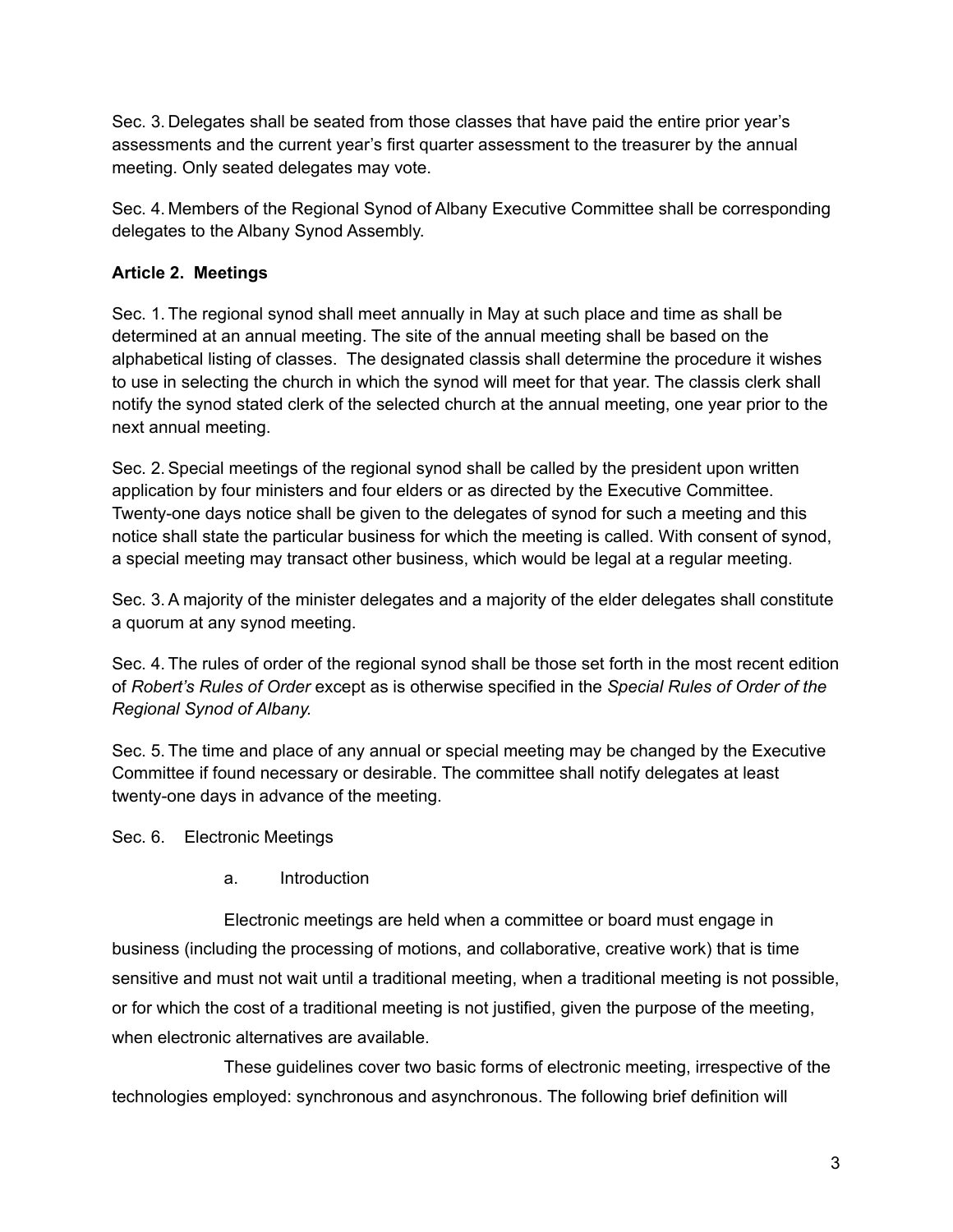Sec. 3. Delegates shall be seated from those classes that have paid the entire prior year's assessments and the current year's first quarter assessment to the treasurer by the annual meeting. Only seated delegates may vote.

Sec. 4. Members of the Regional Synod of Albany Executive Committee shall be corresponding delegates to the Albany Synod Assembly.

## **Article 2. Meetings**

Sec. 1. The regional synod shall meet annually in May at such place and time as shall be determined at an annual meeting. The site of the annual meeting shall be based on the alphabetical listing of classes. The designated classis shall determine the procedure it wishes to use in selecting the church in which the synod will meet for that year. The classis clerk shall notify the synod stated clerk of the selected church at the annual meeting, one year prior to the next annual meeting.

Sec. 2.Special meetings of the regional synod shall be called by the president upon written application by four ministers and four elders or as directed by the Executive Committee. Twenty-one days notice shall be given to the delegates of synod for such a meeting and this notice shall state the particular business for which the meeting is called. With consent of synod, a special meeting may transact other business, which would be legal at a regular meeting.

Sec. 3.A majority of the minister delegates and a majority of the elder delegates shall constitute a quorum at any synod meeting.

Sec. 4. The rules of order of the regional synod shall be those set forth in the most recent edition of *Robert's Rules of Order* except as is otherwise specified in the *Special Rules of Order of the Regional Synod of Albany.*

Sec. 5. The time and place of any annual or special meeting may be changed by the Executive Committee if found necessary or desirable. The committee shall notify delegates at least twenty-one days in advance of the meeting.

Sec. 6. Electronic Meetings

a. Introduction

Electronic meetings are held when a committee or board must engage in business (including the processing of motions, and collaborative, creative work) that is time sensitive and must not wait until a traditional meeting, when a traditional meeting is not possible, or for which the cost of a traditional meeting is not justified, given the purpose of the meeting, when electronic alternatives are available.

These guidelines cover two basic forms of electronic meeting, irrespective of the technologies employed: synchronous and asynchronous. The following brief definition will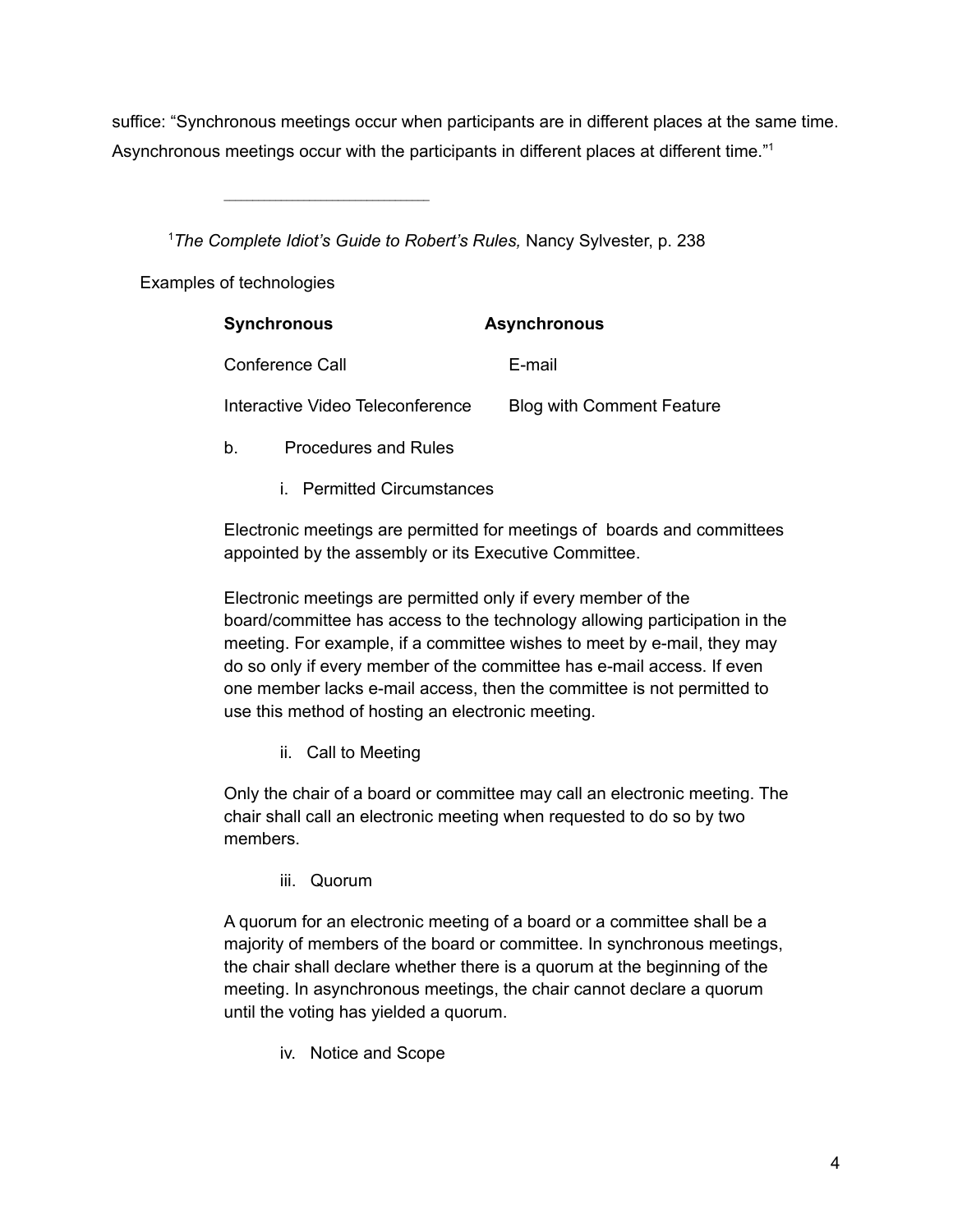suffice: "Synchronous meetings occur when participants are in different places at the same time. Asynchronous meetings occur with the participants in different places at different time."<sup>1</sup>

<sup>1</sup>*The Complete Idiot's Guide to Robert's Rules,* Nancy Sylvester, p. 238

Examples of technologies

| <b>Synchronous</b>               | <b>Asynchronous</b>              |
|----------------------------------|----------------------------------|
| Conference Call                  | E-mail                           |
| Interactive Video Teleconference | <b>Blog with Comment Feature</b> |

- b. Procedures and Rules
	- i. Permitted Circumstances

Electronic meetings are permitted for meetings of boards and committees appointed by the assembly or its Executive Committee.

Electronic meetings are permitted only if every member of the board/committee has access to the technology allowing participation in the meeting. For example, if a committee wishes to meet by e-mail, they may do so only if every member of the committee has e-mail access. If even one member lacks e-mail access, then the committee is not permitted to use this method of hosting an electronic meeting.

ii. Call to Meeting

Only the chair of a board or committee may call an electronic meeting. The chair shall call an electronic meeting when requested to do so by two members.

iii. Quorum

A quorum for an electronic meeting of a board or a committee shall be a majority of members of the board or committee. In synchronous meetings, the chair shall declare whether there is a quorum at the beginning of the meeting. In asynchronous meetings, the chair cannot declare a quorum until the voting has yielded a quorum.

iv. Notice and Scope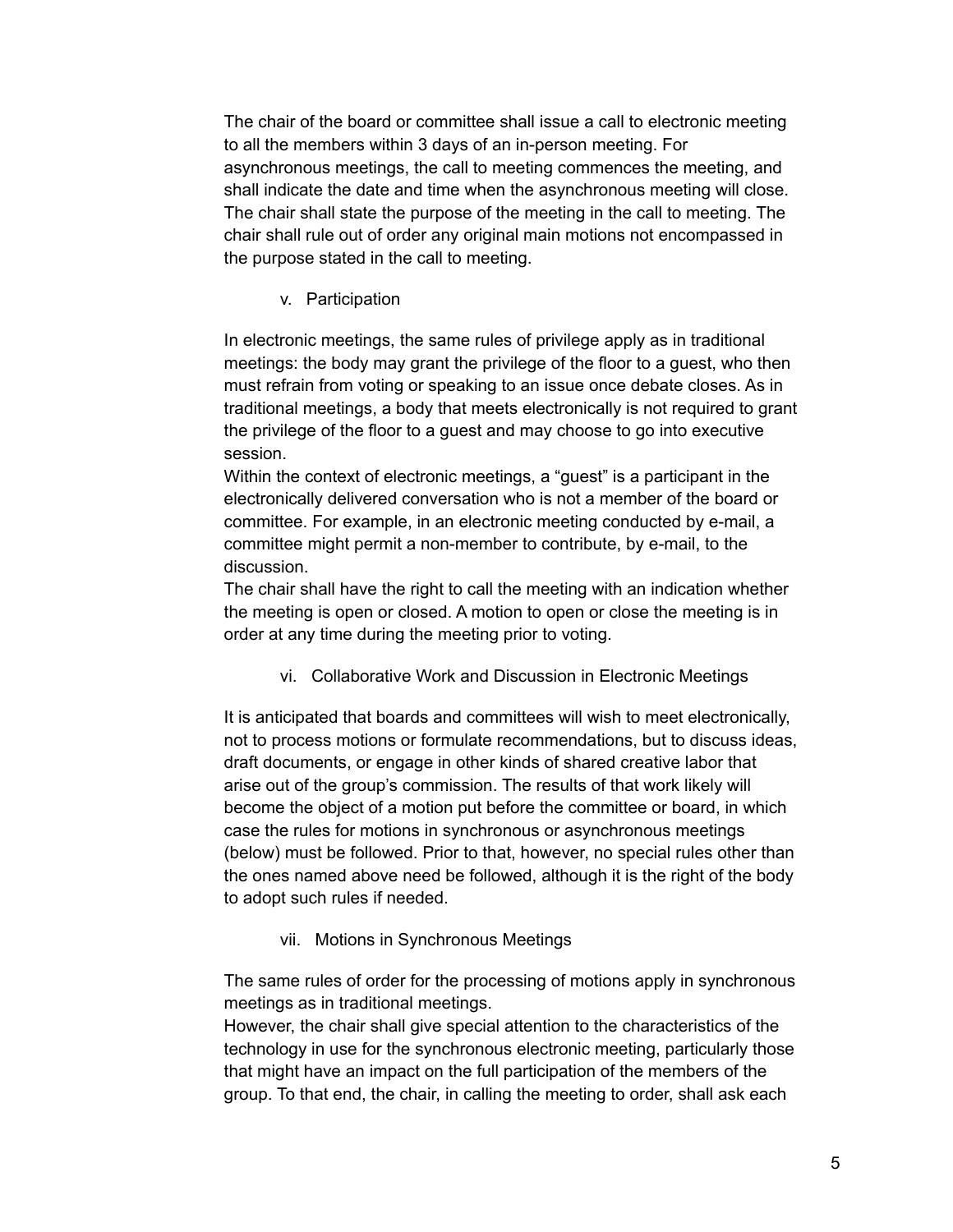The chair of the board or committee shall issue a call to electronic meeting to all the members within 3 days of an in-person meeting. For asynchronous meetings, the call to meeting commences the meeting, and shall indicate the date and time when the asynchronous meeting will close. The chair shall state the purpose of the meeting in the call to meeting. The chair shall rule out of order any original main motions not encompassed in the purpose stated in the call to meeting.

#### v. Participation

In electronic meetings, the same rules of privilege apply as in traditional meetings: the body may grant the privilege of the floor to a guest, who then must refrain from voting or speaking to an issue once debate closes. As in traditional meetings, a body that meets electronically is not required to grant the privilege of the floor to a guest and may choose to go into executive session.

Within the context of electronic meetings, a "guest" is a participant in the electronically delivered conversation who is not a member of the board or committee. For example, in an electronic meeting conducted by e-mail, a committee might permit a non-member to contribute, by e-mail, to the discussion.

The chair shall have the right to call the meeting with an indication whether the meeting is open or closed. A motion to open or close the meeting is in order at any time during the meeting prior to voting.

vi. Collaborative Work and Discussion in Electronic Meetings

It is anticipated that boards and committees will wish to meet electronically, not to process motions or formulate recommendations, but to discuss ideas, draft documents, or engage in other kinds of shared creative labor that arise out of the group's commission. The results of that work likely will become the object of a motion put before the committee or board, in which case the rules for motions in synchronous or asynchronous meetings (below) must be followed. Prior to that, however, no special rules other than the ones named above need be followed, although it is the right of the body to adopt such rules if needed.

vii. Motions in Synchronous Meetings

The same rules of order for the processing of motions apply in synchronous meetings as in traditional meetings.

However, the chair shall give special attention to the characteristics of the technology in use for the synchronous electronic meeting, particularly those that might have an impact on the full participation of the members of the group. To that end, the chair, in calling the meeting to order, shall ask each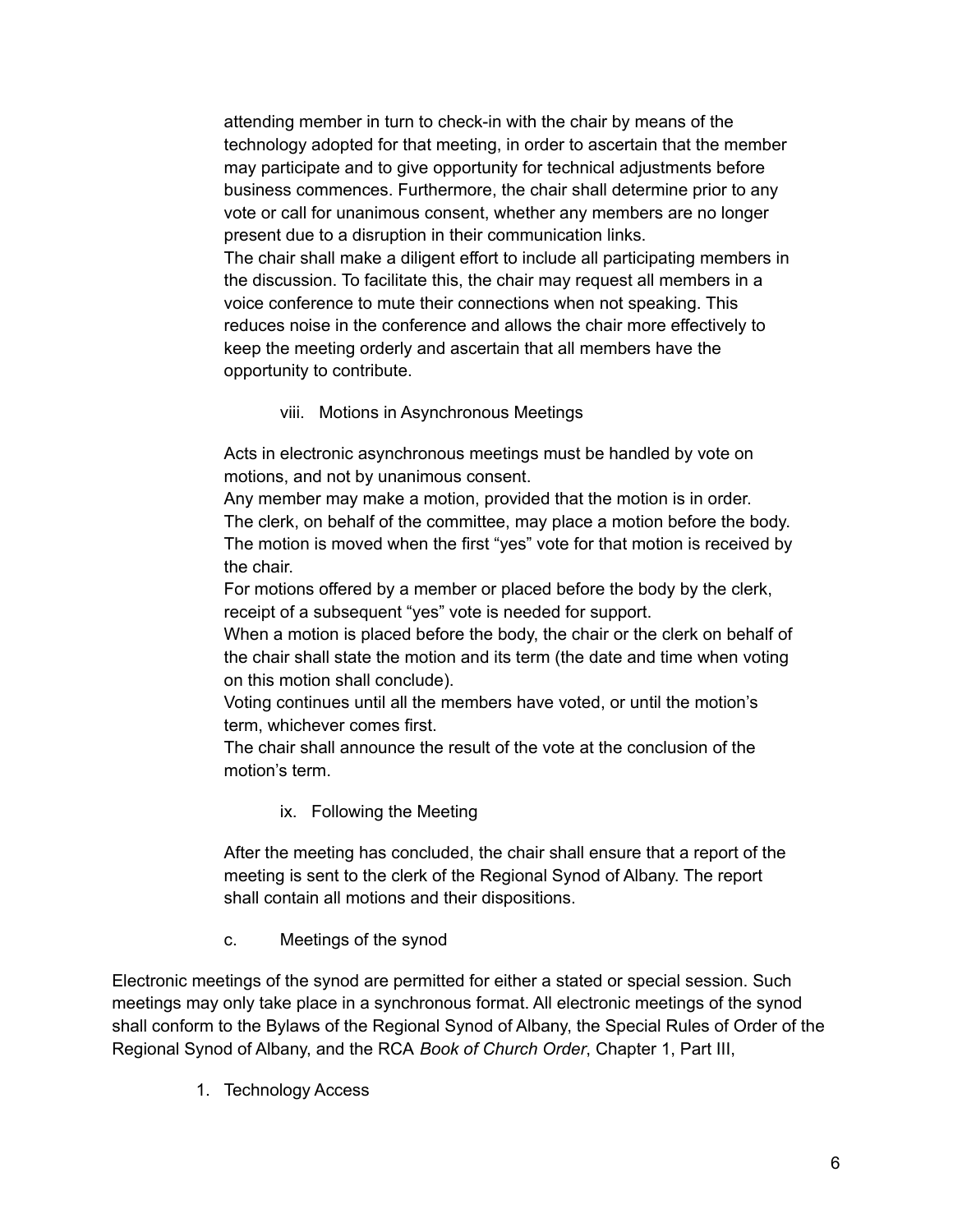attending member in turn to check-in with the chair by means of the technology adopted for that meeting, in order to ascertain that the member may participate and to give opportunity for technical adjustments before business commences. Furthermore, the chair shall determine prior to any vote or call for unanimous consent, whether any members are no longer present due to a disruption in their communication links. The chair shall make a diligent effort to include all participating members in the discussion. To facilitate this, the chair may request all members in a voice conference to mute their connections when not speaking. This reduces noise in the conference and allows the chair more effectively to keep the meeting orderly and ascertain that all members have the opportunity to contribute.

viii. Motions in Asynchronous Meetings

Acts in electronic asynchronous meetings must be handled by vote on motions, and not by unanimous consent.

Any member may make a motion, provided that the motion is in order. The clerk, on behalf of the committee, may place a motion before the body. The motion is moved when the first "yes" vote for that motion is received by the chair.

For motions offered by a member or placed before the body by the clerk, receipt of a subsequent "yes" vote is needed for support.

When a motion is placed before the body, the chair or the clerk on behalf of the chair shall state the motion and its term (the date and time when voting on this motion shall conclude).

Voting continues until all the members have voted, or until the motion's term, whichever comes first.

The chair shall announce the result of the vote at the conclusion of the motion's term.

ix. Following the Meeting

After the meeting has concluded, the chair shall ensure that a report of the meeting is sent to the clerk of the Regional Synod of Albany. The report shall contain all motions and their dispositions.

c. Meetings of the synod

Electronic meetings of the synod are permitted for either a stated or special session. Such meetings may only take place in a synchronous format. All electronic meetings of the synod shall conform to the Bylaws of the Regional Synod of Albany, the Special Rules of Order of the Regional Synod of Albany, and the RCA *Book of Church Order*, Chapter 1, Part III,

1. Technology Access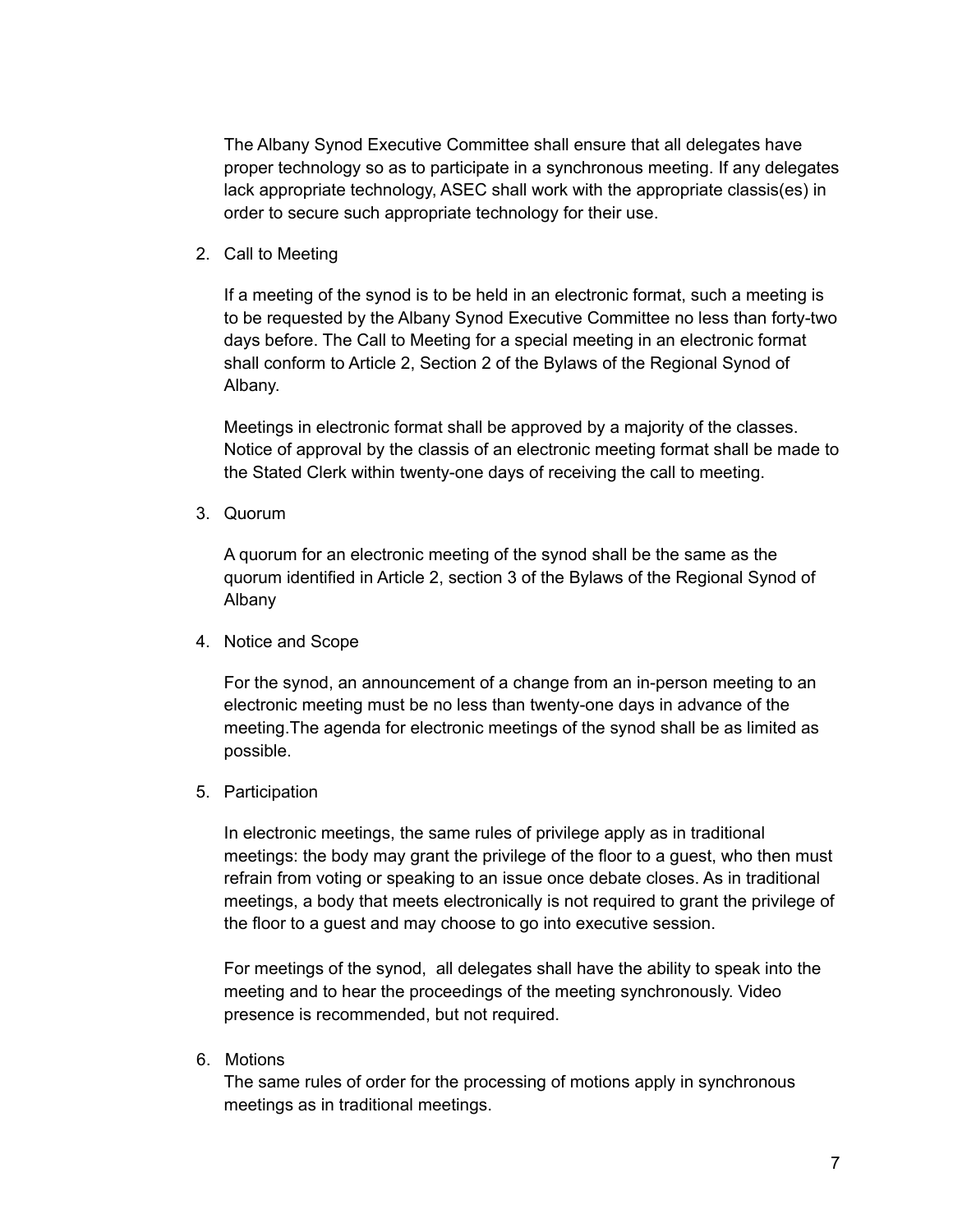The Albany Synod Executive Committee shall ensure that all delegates have proper technology so as to participate in a synchronous meeting. If any delegates lack appropriate technology, ASEC shall work with the appropriate classis(es) in order to secure such appropriate technology for their use.

2. Call to Meeting

If a meeting of the synod is to be held in an electronic format, such a meeting is to be requested by the Albany Synod Executive Committee no less than forty-two days before. The Call to Meeting for a special meeting in an electronic format shall conform to Article 2, Section 2 of the Bylaws of the Regional Synod of Albany.

Meetings in electronic format shall be approved by a majority of the classes. Notice of approval by the classis of an electronic meeting format shall be made to the Stated Clerk within twenty-one days of receiving the call to meeting.

3. Quorum

A quorum for an electronic meeting of the synod shall be the same as the quorum identified in Article 2, section 3 of the Bylaws of the Regional Synod of Albany

4. Notice and Scope

For the synod, an announcement of a change from an in-person meeting to an electronic meeting must be no less than twenty-one days in advance of the meeting.The agenda for electronic meetings of the synod shall be as limited as possible.

5. Participation

In electronic meetings, the same rules of privilege apply as in traditional meetings: the body may grant the privilege of the floor to a guest, who then must refrain from voting or speaking to an issue once debate closes. As in traditional meetings, a body that meets electronically is not required to grant the privilege of the floor to a guest and may choose to go into executive session.

For meetings of the synod, all delegates shall have the ability to speak into the meeting and to hear the proceedings of the meeting synchronously. Video presence is recommended, but not required.

6. Motions

The same rules of order for the processing of motions apply in synchronous meetings as in traditional meetings.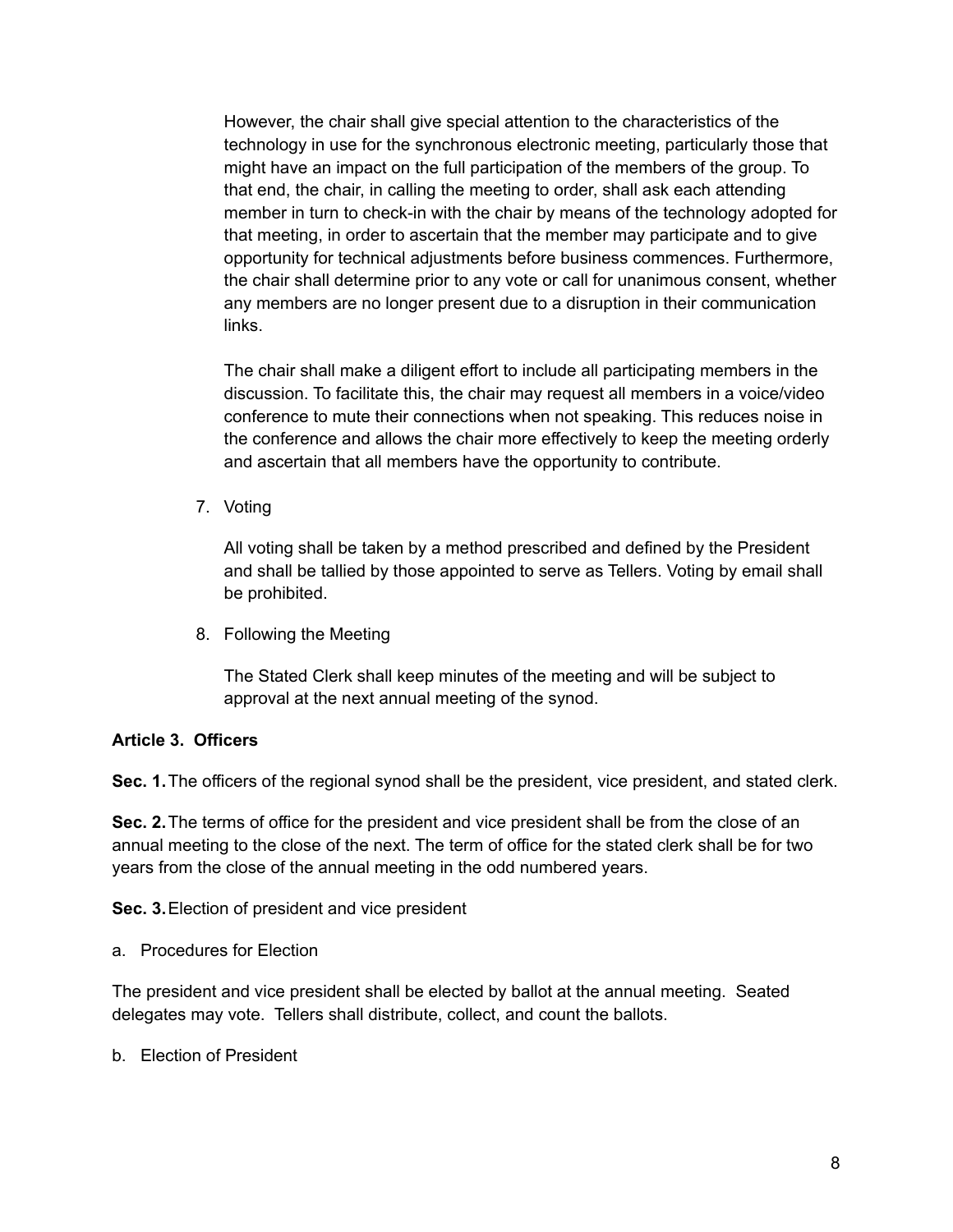However, the chair shall give special attention to the characteristics of the technology in use for the synchronous electronic meeting, particularly those that might have an impact on the full participation of the members of the group. To that end, the chair, in calling the meeting to order, shall ask each attending member in turn to check-in with the chair by means of the technology adopted for that meeting, in order to ascertain that the member may participate and to give opportunity for technical adjustments before business commences. Furthermore, the chair shall determine prior to any vote or call for unanimous consent, whether any members are no longer present due to a disruption in their communication links.

The chair shall make a diligent effort to include all participating members in the discussion. To facilitate this, the chair may request all members in a voice/video conference to mute their connections when not speaking. This reduces noise in the conference and allows the chair more effectively to keep the meeting orderly and ascertain that all members have the opportunity to contribute.

7. Voting

All voting shall be taken by a method prescribed and defined by the President and shall be tallied by those appointed to serve as Tellers. Voting by email shall be prohibited.

8. Following the Meeting

The Stated Clerk shall keep minutes of the meeting and will be subject to approval at the next annual meeting of the synod.

## **Article 3. Officers**

**Sec. 1.**The officers of the regional synod shall be the president, vice president, and stated clerk.

**Sec. 2.**The terms of office for the president and vice president shall be from the close of an annual meeting to the close of the next. The term of office for the stated clerk shall be for two years from the close of the annual meeting in the odd numbered years.

**Sec. 3.**Election of president and vice president

a. Procedures for Election

The president and vice president shall be elected by ballot at the annual meeting. Seated delegates may vote. Tellers shall distribute, collect, and count the ballots.

b. Election of President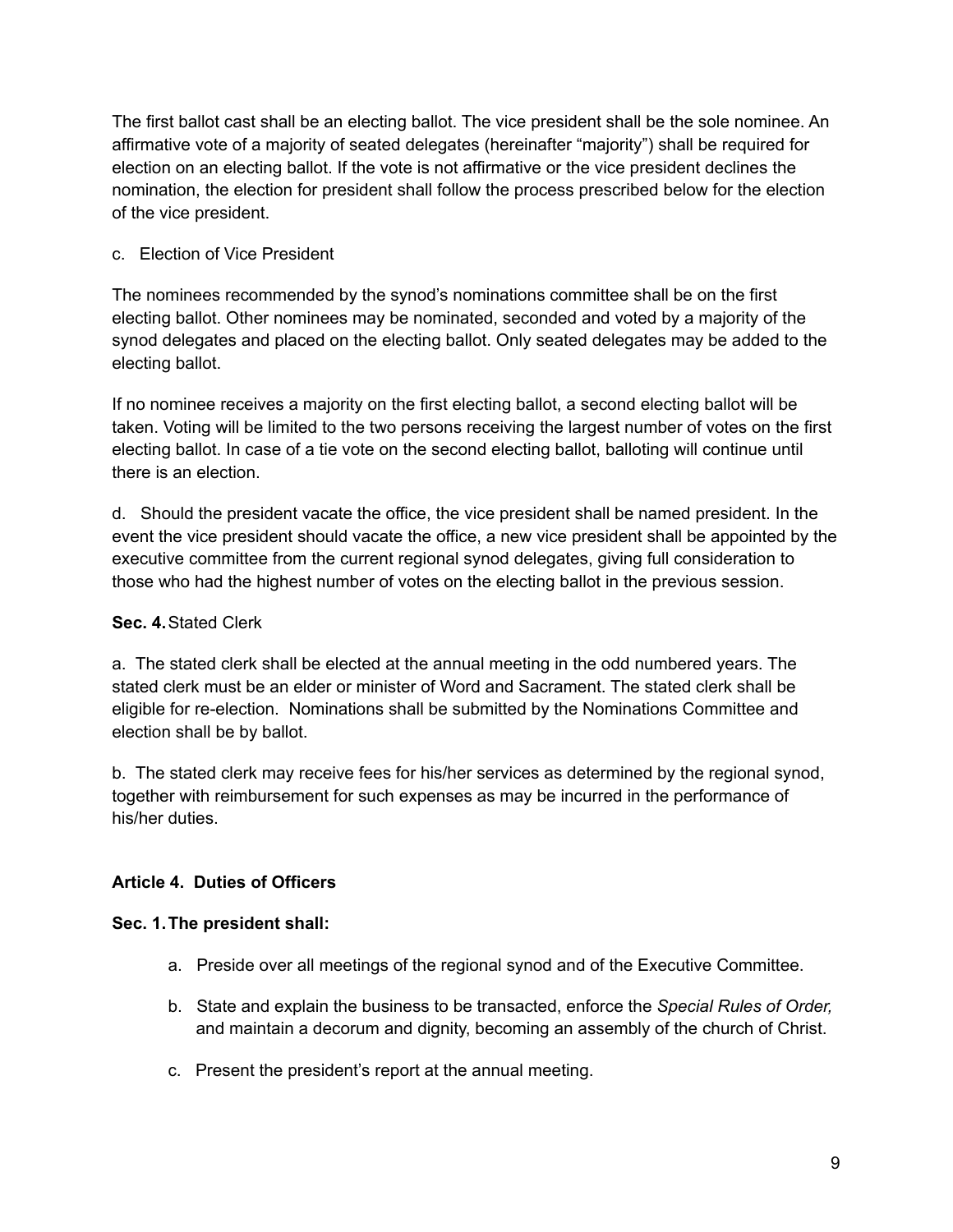The first ballot cast shall be an electing ballot. The vice president shall be the sole nominee. An affirmative vote of a majority of seated delegates (hereinafter "majority") shall be required for election on an electing ballot. If the vote is not affirmative or the vice president declines the nomination, the election for president shall follow the process prescribed below for the election of the vice president.

## c. Election of Vice President

The nominees recommended by the synod's nominations committee shall be on the first electing ballot. Other nominees may be nominated, seconded and voted by a majority of the synod delegates and placed on the electing ballot. Only seated delegates may be added to the electing ballot.

If no nominee receives a majority on the first electing ballot, a second electing ballot will be taken. Voting will be limited to the two persons receiving the largest number of votes on the first electing ballot. In case of a tie vote on the second electing ballot, balloting will continue until there is an election.

d. Should the president vacate the office, the vice president shall be named president. In the event the vice president should vacate the office, a new vice president shall be appointed by the executive committee from the current regional synod delegates, giving full consideration to those who had the highest number of votes on the electing ballot in the previous session.

## **Sec. 4.**Stated Clerk

a. The stated clerk shall be elected at the annual meeting in the odd numbered years. The stated clerk must be an elder or minister of Word and Sacrament. The stated clerk shall be eligible for re-election. Nominations shall be submitted by the Nominations Committee and election shall be by ballot.

b. The stated clerk may receive fees for his/her services as determined by the regional synod, together with reimbursement for such expenses as may be incurred in the performance of his/her duties.

## **Article 4. Duties of Officers**

## **Sec. 1.The president shall:**

- a. Preside over all meetings of the regional synod and of the Executive Committee.
- b. State and explain the business to be transacted, enforce the *Special Rules of Order,* and maintain a decorum and dignity, becoming an assembly of the church of Christ.
- c. Present the president's report at the annual meeting.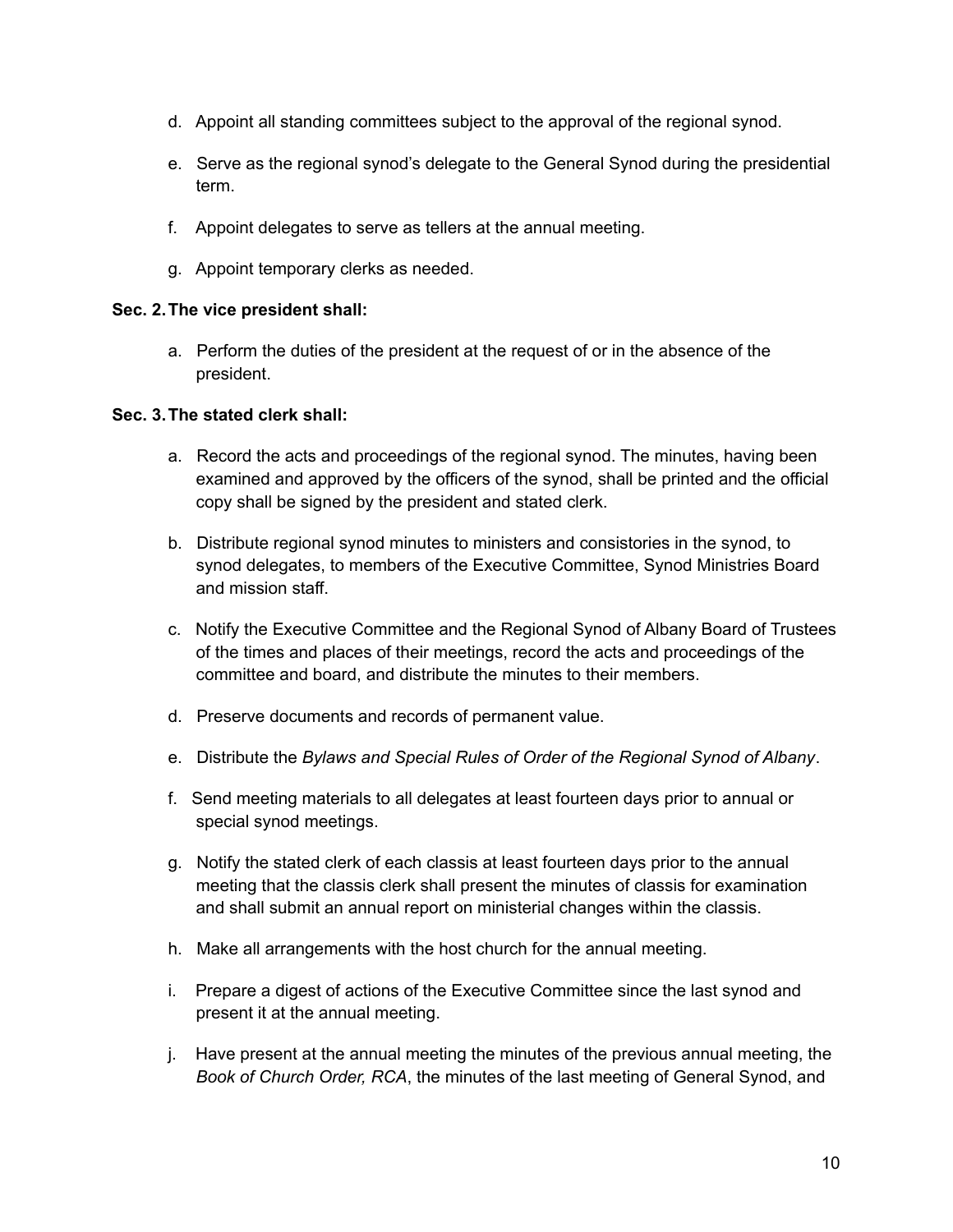- d. Appoint all standing committees subject to the approval of the regional synod.
- e. Serve as the regional synod's delegate to the General Synod during the presidential term.
- f. Appoint delegates to serve as tellers at the annual meeting.
- g. Appoint temporary clerks as needed.

#### **Sec. 2.The vice president shall:**

a. Perform the duties of the president at the request of or in the absence of the president.

#### **Sec. 3.The stated clerk shall:**

- a. Record the acts and proceedings of the regional synod. The minutes, having been examined and approved by the officers of the synod, shall be printed and the official copy shall be signed by the president and stated clerk.
- b. Distribute regional synod minutes to ministers and consistories in the synod, to synod delegates, to members of the Executive Committee, Synod Ministries Board and mission staff.
- c. Notify the Executive Committee and the Regional Synod of Albany Board of Trustees of the times and places of their meetings, record the acts and proceedings of the committee and board, and distribute the minutes to their members.
- d. Preserve documents and records of permanent value.
- e. Distribute the *Bylaws and Special Rules of Order of the Regional Synod of Albany*.
- f. Send meeting materials to all delegates at least fourteen days prior to annual or special synod meetings.
- g. Notify the stated clerk of each classis at least fourteen days prior to the annual meeting that the classis clerk shall present the minutes of classis for examination and shall submit an annual report on ministerial changes within the classis.
- h. Make all arrangements with the host church for the annual meeting.
- i. Prepare a digest of actions of the Executive Committee since the last synod and present it at the annual meeting.
- j. Have present at the annual meeting the minutes of the previous annual meeting, the *Book of Church Order, RCA*, the minutes of the last meeting of General Synod, and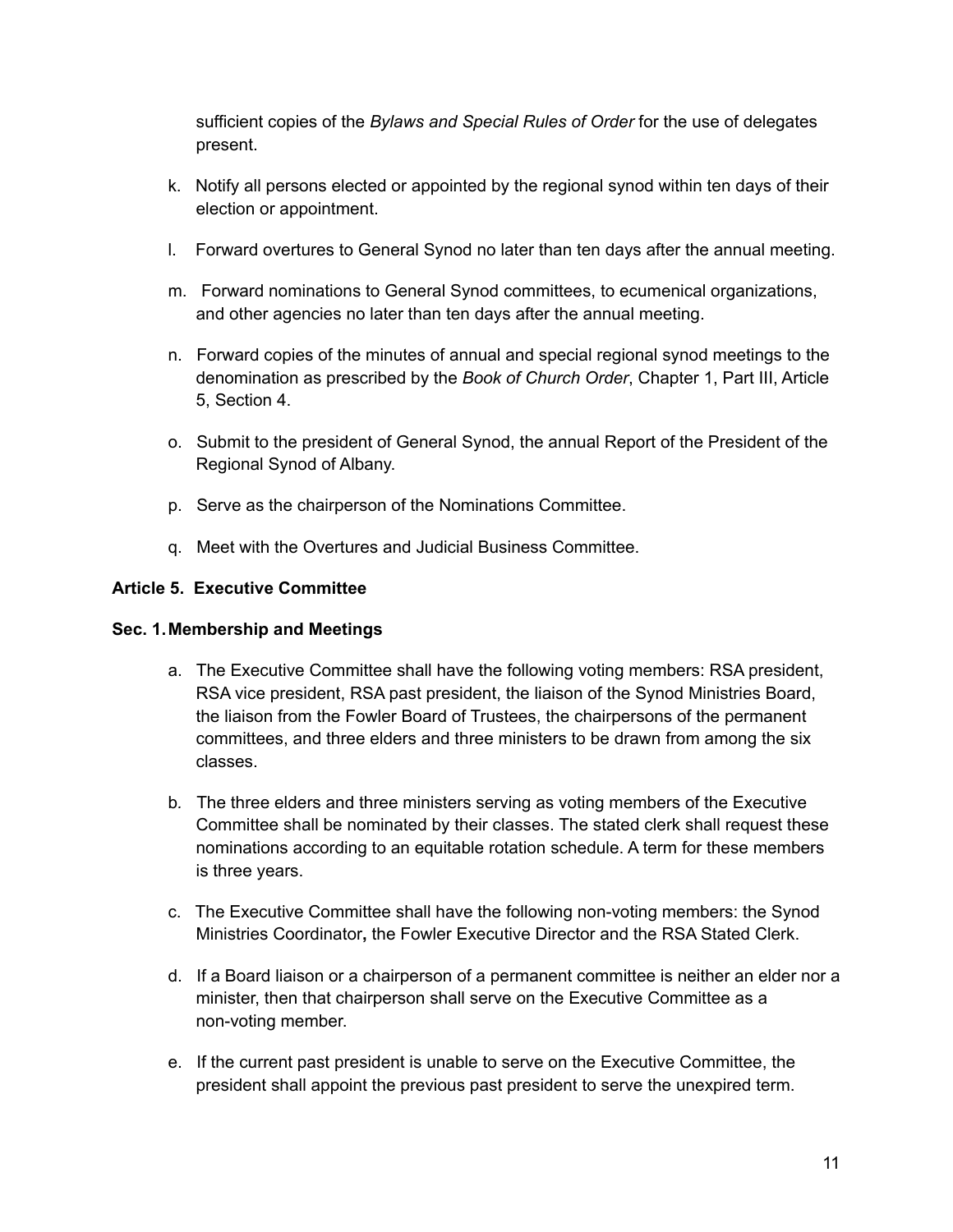sufficient copies of the *Bylaws and Special Rules of Order* for the use of delegates present.

- k. Notify all persons elected or appointed by the regional synod within ten days of their election or appointment.
- l. Forward overtures to General Synod no later than ten days after the annual meeting.
- m. Forward nominations to General Synod committees, to ecumenical organizations, and other agencies no later than ten days after the annual meeting.
- n. Forward copies of the minutes of annual and special regional synod meetings to the denomination as prescribed by the *Book of Church Order*, Chapter 1, Part III, Article 5, Section 4.
- o. Submit to the president of General Synod, the annual Report of the President of the Regional Synod of Albany.
- p. Serve as the chairperson of the Nominations Committee.
- q. Meet with the Overtures and Judicial Business Committee.

## **Article 5. Executive Committee**

## **Sec. 1.Membership and Meetings**

- a. The Executive Committee shall have the following voting members: RSA president, RSA vice president, RSA past president, the liaison of the Synod Ministries Board, the liaison from the Fowler Board of Trustees, the chairpersons of the permanent committees, and three elders and three ministers to be drawn from among the six classes.
- b*.* The three elders and three ministers serving as voting members of the Executive Committee shall be nominated by their classes. The stated clerk shall request these nominations according to an equitable rotation schedule. A term for these members is three years.
- c. The Executive Committee shall have the following non-voting members: the Synod Ministries Coordinator**,** the Fowler Executive Director and the RSA Stated Clerk.
- d. If a Board liaison or a chairperson of a permanent committee is neither an elder nor a minister, then that chairperson shall serve on the Executive Committee as a non-voting member.
- e. If the current past president is unable to serve on the Executive Committee, the president shall appoint the previous past president to serve the unexpired term.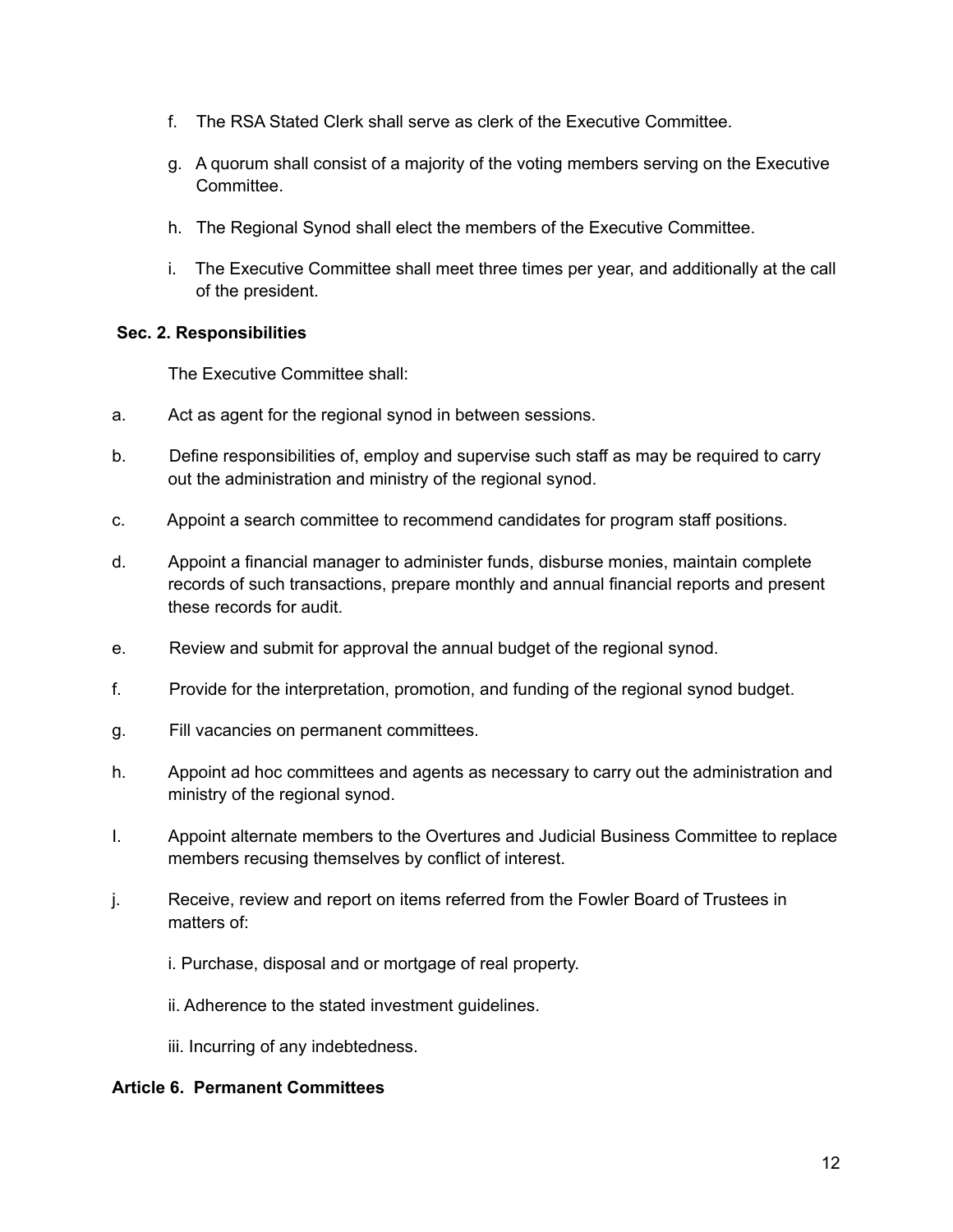- f. The RSA Stated Clerk shall serve as clerk of the Executive Committee.
- g. A quorum shall consist of a majority of the voting members serving on the Executive Committee.
- h. The Regional Synod shall elect the members of the Executive Committee.
- i. The Executive Committee shall meet three times per year, and additionally at the call of the president.

#### **Sec. 2. Responsibilities**

The Executive Committee shall:

- a. Act as agent for the regional synod in between sessions.
- b. Define responsibilities of, employ and supervise such staff as may be required to carry out the administration and ministry of the regional synod.
- c. Appoint a search committee to recommend candidates for program staff positions.
- d. Appoint a financial manager to administer funds, disburse monies, maintain complete records of such transactions, prepare monthly and annual financial reports and present these records for audit.
- e. Review and submit for approval the annual budget of the regional synod.
- f. Provide for the interpretation, promotion, and funding of the regional synod budget.
- g. Fill vacancies on permanent committees.
- h. Appoint ad hoc committees and agents as necessary to carry out the administration and ministry of the regional synod.
- I. Appoint alternate members to the Overtures and Judicial Business Committee to replace members recusing themselves by conflict of interest.
- j. Receive, review and report on items referred from the Fowler Board of Trustees in matters of:
	- i. Purchase, disposal and or mortgage of real property.
	- ii. Adherence to the stated investment guidelines.
	- iii. Incurring of any indebtedness.

#### **Article 6. Permanent Committees**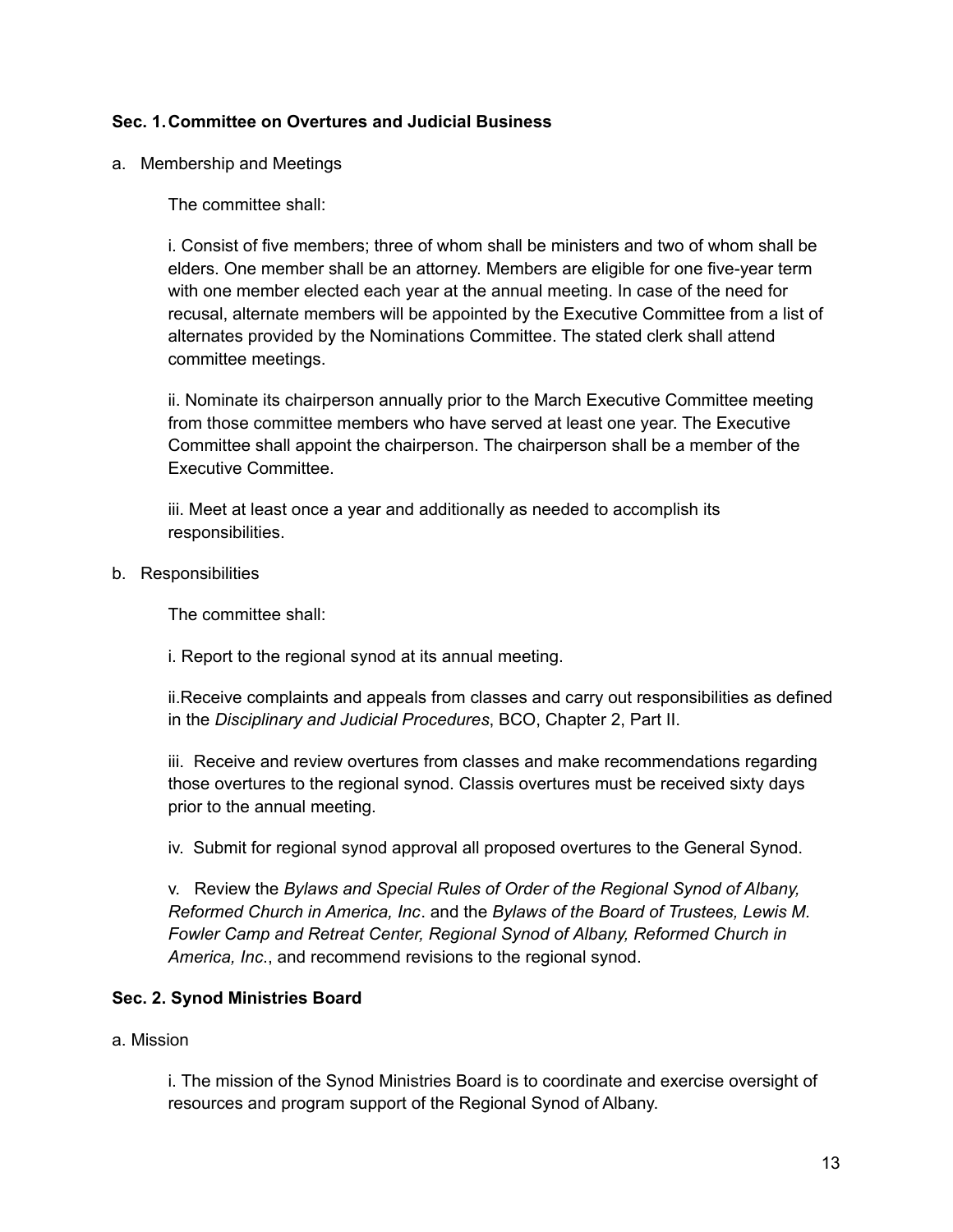#### **Sec. 1.Committee on Overtures and Judicial Business**

a. Membership and Meetings

The committee shall:

i. Consist of five members; three of whom shall be ministers and two of whom shall be elders. One member shall be an attorney. Members are eligible for one five-year term with one member elected each year at the annual meeting. In case of the need for recusal, alternate members will be appointed by the Executive Committee from a list of alternates provided by the Nominations Committee. The stated clerk shall attend committee meetings.

ii. Nominate its chairperson annually prior to the March Executive Committee meeting from those committee members who have served at least one year. The Executive Committee shall appoint the chairperson. The chairperson shall be a member of the Executive Committee.

iii. Meet at least once a year and additionally as needed to accomplish its responsibilities.

b. Responsibilities

The committee shall:

i. Report to the regional synod at its annual meeting.

ii.Receive complaints and appeals from classes and carry out responsibilities as defined in the *Disciplinary and Judicial Procedures*, BCO, Chapter 2, Part II.

iii. Receive and review overtures from classes and make recommendations regarding those overtures to the regional synod. Classis overtures must be received sixty days prior to the annual meeting.

iv. Submit for regional synod approval all proposed overtures to the General Synod.

v. Review the *Bylaws and Special Rules of Order of the Regional Synod of Albany, Reformed Church in America, Inc*. and the *Bylaws of the Board of Trustees, Lewis M. Fowler Camp and Retreat Center, Regional Synod of Albany, Reformed Church in America, Inc*., and recommend revisions to the regional synod.

#### **Sec. 2. Synod Ministries Board**

a. Mission

i. The mission of the Synod Ministries Board is to coordinate and exercise oversight of resources and program support of the Regional Synod of Albany.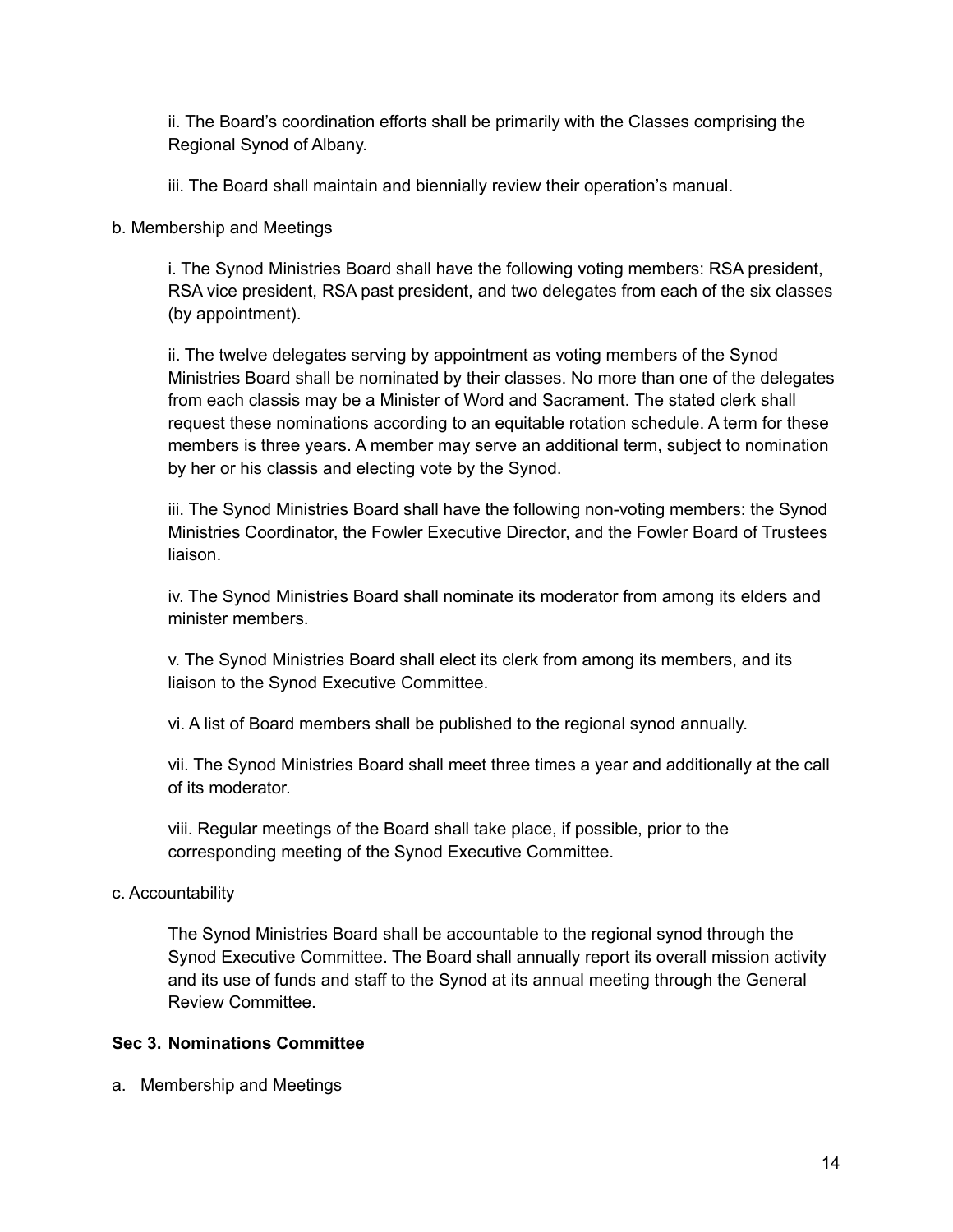ii. The Board's coordination efforts shall be primarily with the Classes comprising the Regional Synod of Albany.

iii. The Board shall maintain and biennially review their operation's manual.

b. Membership and Meetings

i. The Synod Ministries Board shall have the following voting members: RSA president, RSA vice president, RSA past president, and two delegates from each of the six classes (by appointment).

ii. The twelve delegates serving by appointment as voting members of the Synod Ministries Board shall be nominated by their classes. No more than one of the delegates from each classis may be a Minister of Word and Sacrament. The stated clerk shall request these nominations according to an equitable rotation schedule. A term for these members is three years. A member may serve an additional term, subject to nomination by her or his classis and electing vote by the Synod.

iii. The Synod Ministries Board shall have the following non-voting members: the Synod Ministries Coordinator, the Fowler Executive Director, and the Fowler Board of Trustees liaison.

iv. The Synod Ministries Board shall nominate its moderator from among its elders and minister members.

v. The Synod Ministries Board shall elect its clerk from among its members, and its liaison to the Synod Executive Committee.

vi. A list of Board members shall be published to the regional synod annually.

vii. The Synod Ministries Board shall meet three times a year and additionally at the call of its moderator.

viii. Regular meetings of the Board shall take place, if possible, prior to the corresponding meeting of the Synod Executive Committee.

## c. Accountability

The Synod Ministries Board shall be accountable to the regional synod through the Synod Executive Committee. The Board shall annually report its overall mission activity and its use of funds and staff to the Synod at its annual meeting through the General Review Committee.

## **Sec 3. Nominations Committee**

a. Membership and Meetings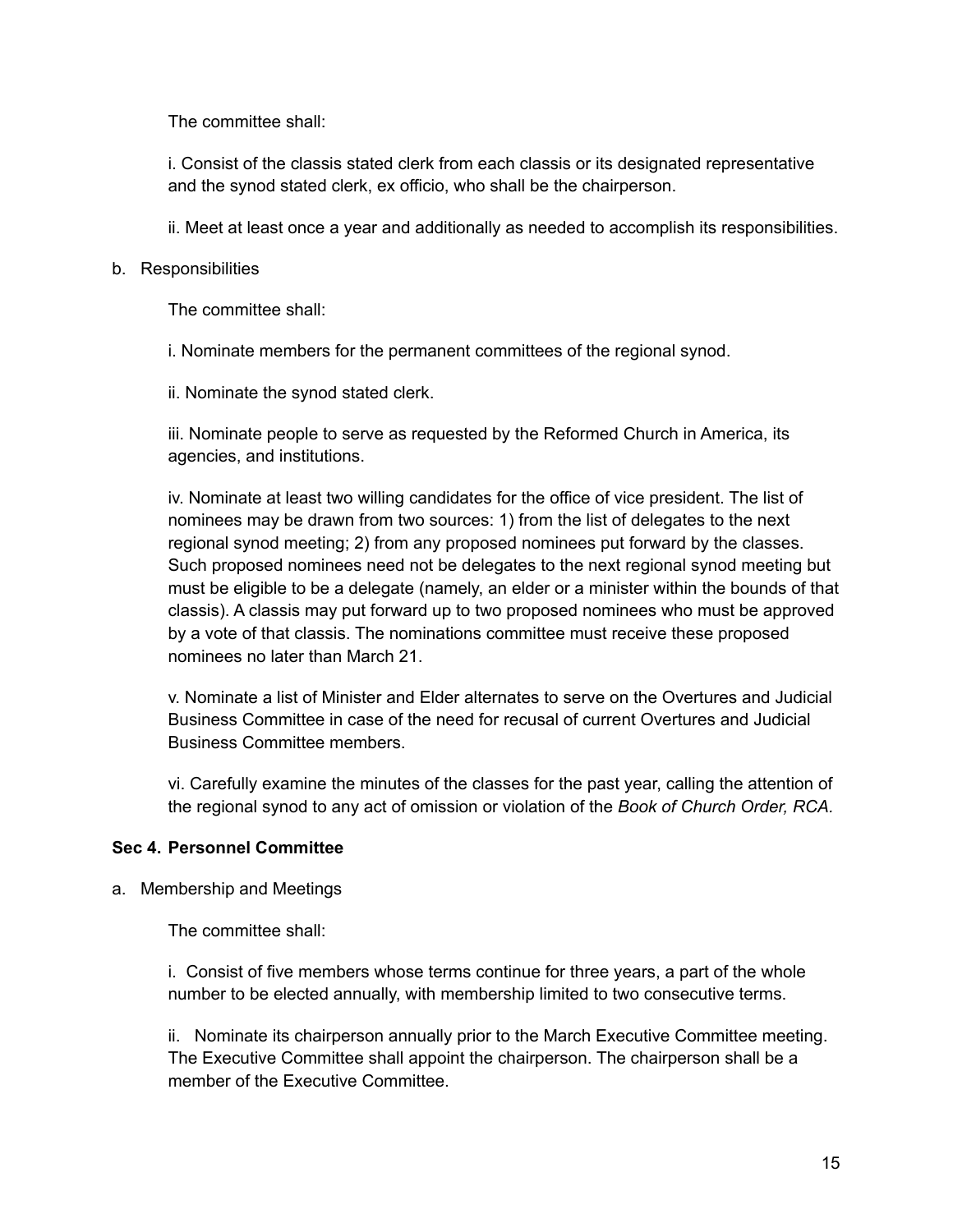The committee shall:

i. Consist of the classis stated clerk from each classis or its designated representative and the synod stated clerk, ex officio, who shall be the chairperson.

ii. Meet at least once a year and additionally as needed to accomplish its responsibilities.

#### b. Responsibilities

The committee shall:

i. Nominate members for the permanent committees of the regional synod.

ii. Nominate the synod stated clerk.

iii. Nominate people to serve as requested by the Reformed Church in America, its agencies, and institutions.

iv. Nominate at least two willing candidates for the office of vice president. The list of nominees may be drawn from two sources: 1) from the list of delegates to the next regional synod meeting; 2) from any proposed nominees put forward by the classes. Such proposed nominees need not be delegates to the next regional synod meeting but must be eligible to be a delegate (namely, an elder or a minister within the bounds of that classis). A classis may put forward up to two proposed nominees who must be approved by a vote of that classis. The nominations committee must receive these proposed nominees no later than March 21.

v. Nominate a list of Minister and Elder alternates to serve on the Overtures and Judicial Business Committee in case of the need for recusal of current Overtures and Judicial Business Committee members.

vi. Carefully examine the minutes of the classes for the past year, calling the attention of the regional synod to any act of omission or violation of the *Book of Church Order, RCA.*

#### **Sec 4. Personnel Committee**

a. Membership and Meetings

The committee shall:

i. Consist of five members whose terms continue for three years, a part of the whole number to be elected annually, with membership limited to two consecutive terms.

ii. Nominate its chairperson annually prior to the March Executive Committee meeting. The Executive Committee shall appoint the chairperson. The chairperson shall be a member of the Executive Committee.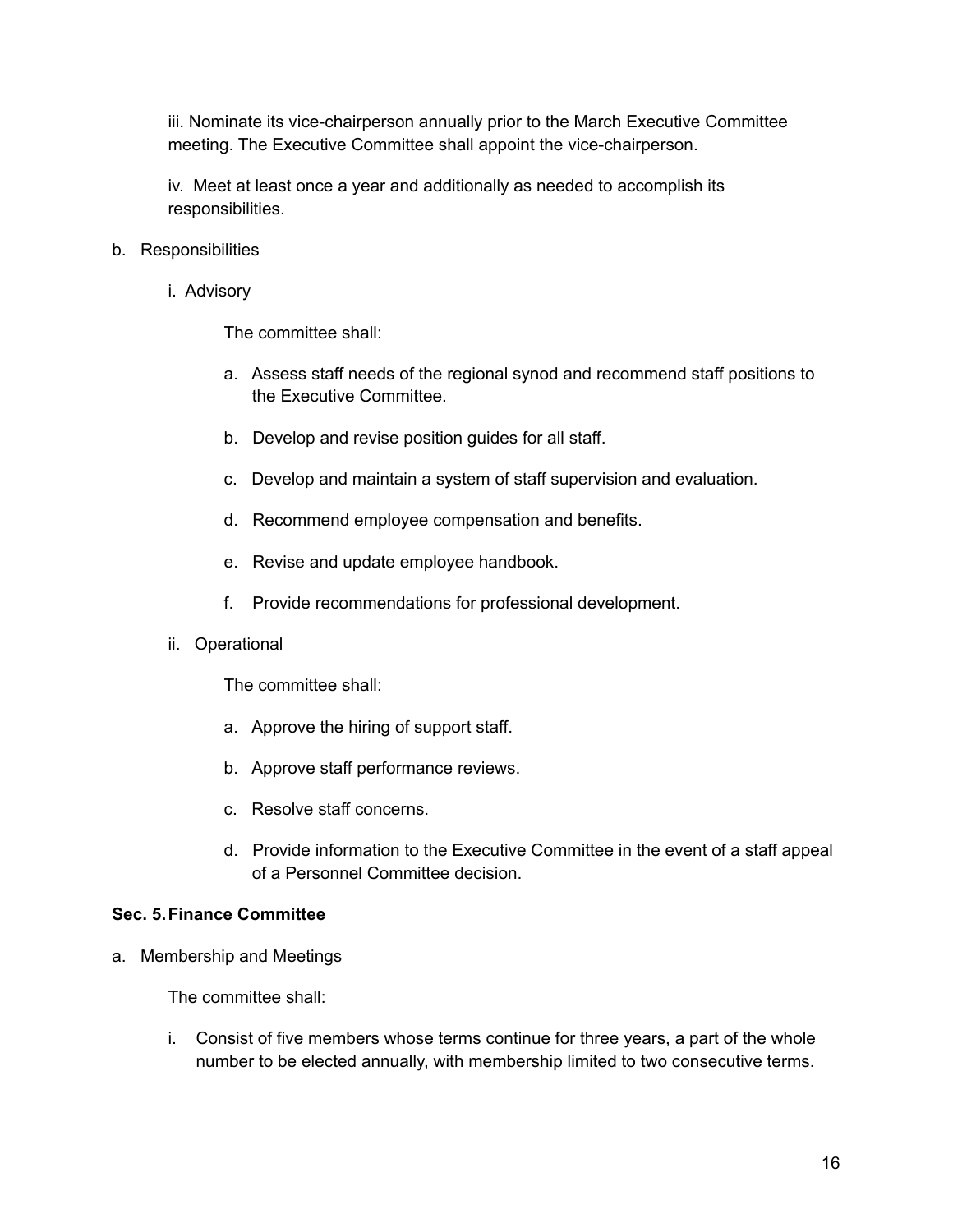iii. Nominate its vice-chairperson annually prior to the March Executive Committee meeting. The Executive Committee shall appoint the vice-chairperson.

iv. Meet at least once a year and additionally as needed to accomplish its responsibilities.

- b. Responsibilities
	- i. Advisory

The committee shall:

- a. Assess staff needs of the regional synod and recommend staff positions to the Executive Committee.
- b. Develop and revise position guides for all staff.
- c. Develop and maintain a system of staff supervision and evaluation.
- d. Recommend employee compensation and benefits.
- e. Revise and update employee handbook.
- f. Provide recommendations for professional development.
- ii. Operational

The committee shall:

- a. Approve the hiring of support staff.
- b. Approve staff performance reviews.
- c. Resolve staff concerns.
- d. Provide information to the Executive Committee in the event of a staff appeal of a Personnel Committee decision.

#### **Sec. 5.Finance Committee**

a. Membership and Meetings

The committee shall:

i. Consist of five members whose terms continue for three years, a part of the whole number to be elected annually, with membership limited to two consecutive terms.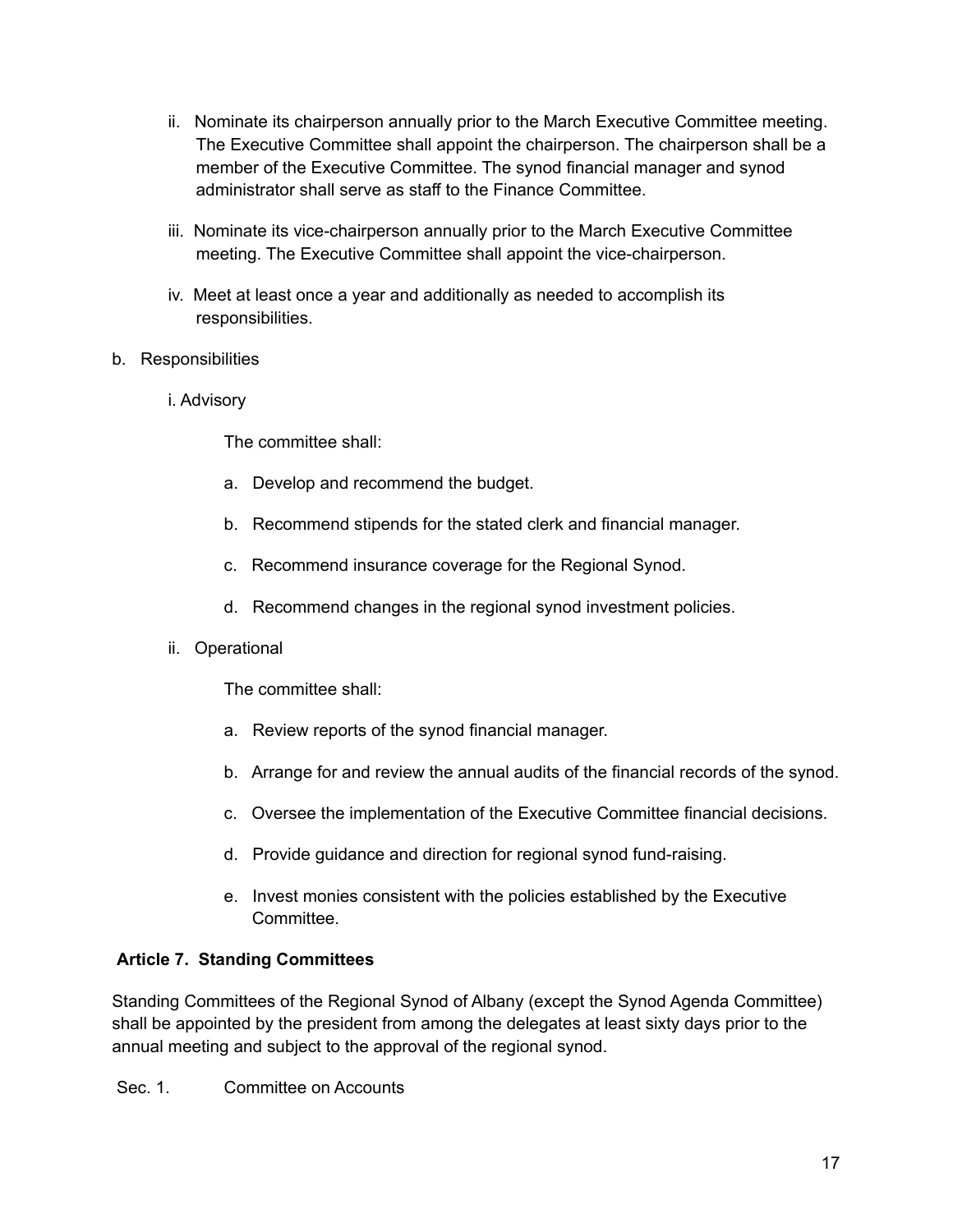- ii. Nominate its chairperson annually prior to the March Executive Committee meeting. The Executive Committee shall appoint the chairperson. The chairperson shall be a member of the Executive Committee. The synod financial manager and synod administrator shall serve as staff to the Finance Committee.
- iii. Nominate its vice-chairperson annually prior to the March Executive Committee meeting. The Executive Committee shall appoint the vice-chairperson.
- iv. Meet at least once a year and additionally as needed to accomplish its responsibilities.
- b. Responsibilities
	- i. Advisory

The committee shall:

- a. Develop and recommend the budget.
- b. Recommend stipends for the stated clerk and financial manager.
- c. Recommend insurance coverage for the Regional Synod.
- d. Recommend changes in the regional synod investment policies.
- ii. Operational

The committee shall:

- a. Review reports of the synod financial manager.
- b. Arrange for and review the annual audits of the financial records of the synod.
- c. Oversee the implementation of the Executive Committee financial decisions.
- d. Provide guidance and direction for regional synod fund-raising.
- e. Invest monies consistent with the policies established by the Executive **Committee.**

## **Article 7. Standing Committees**

Standing Committees of the Regional Synod of Albany (except the Synod Agenda Committee) shall be appointed by the president from among the delegates at least sixty days prior to the annual meeting and subject to the approval of the regional synod.

Sec. 1. Committee on Accounts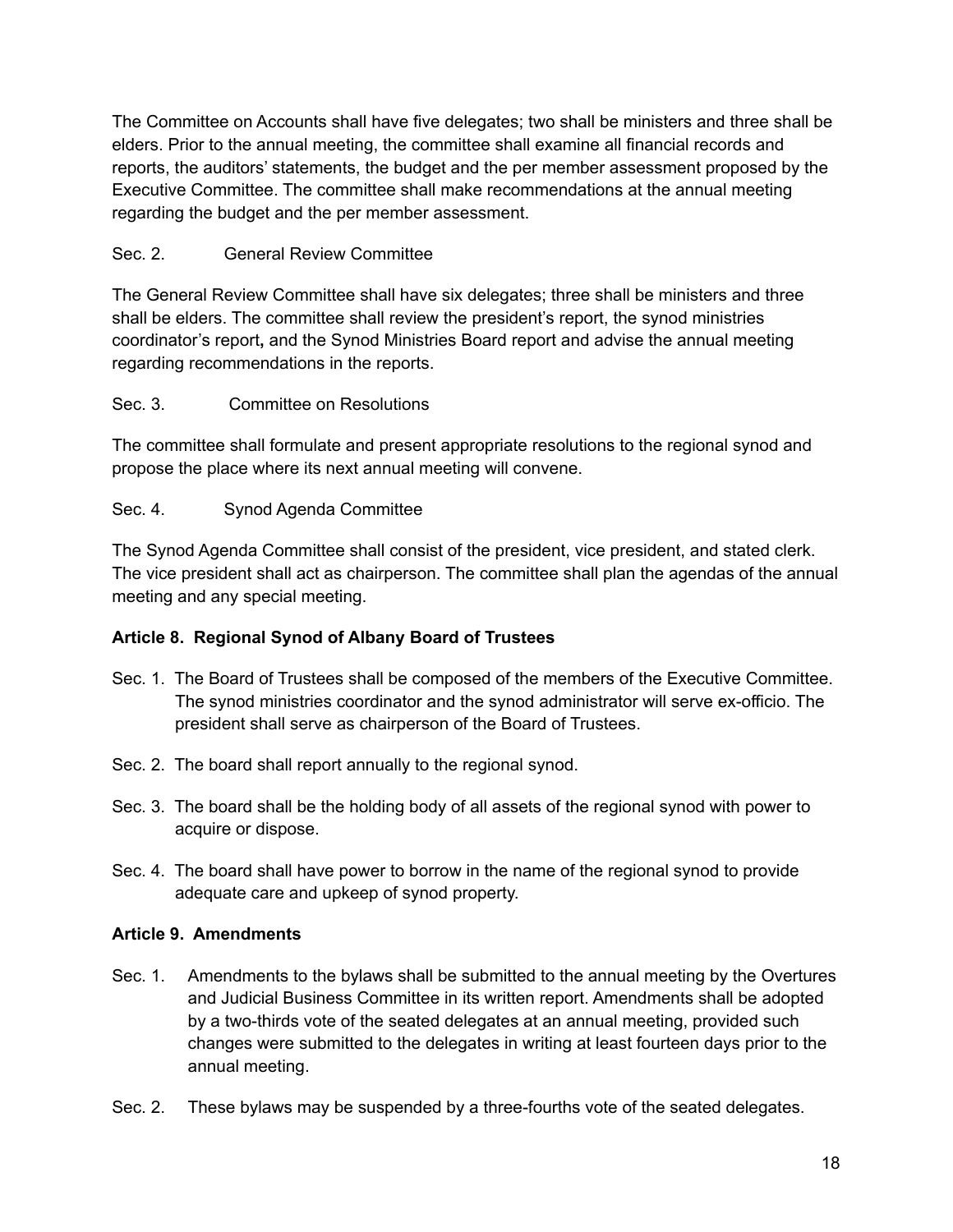The Committee on Accounts shall have five delegates; two shall be ministers and three shall be elders. Prior to the annual meeting, the committee shall examine all financial records and reports, the auditors' statements, the budget and the per member assessment proposed by the Executive Committee. The committee shall make recommendations at the annual meeting regarding the budget and the per member assessment.

## Sec. 2. General Review Committee

The General Review Committee shall have six delegates; three shall be ministers and three shall be elders. The committee shall review the president's report, the synod ministries coordinator's report**,** and the Synod Ministries Board report and advise the annual meeting regarding recommendations in the reports.

## Sec. 3. Committee on Resolutions

The committee shall formulate and present appropriate resolutions to the regional synod and propose the place where its next annual meeting will convene.

## Sec. 4. Synod Agenda Committee

The Synod Agenda Committee shall consist of the president, vice president, and stated clerk. The vice president shall act as chairperson. The committee shall plan the agendas of the annual meeting and any special meeting.

## **Article 8. Regional Synod of Albany Board of Trustees**

- Sec. 1. The Board of Trustees shall be composed of the members of the Executive Committee. The synod ministries coordinator and the synod administrator will serve ex-officio. The president shall serve as chairperson of the Board of Trustees.
- Sec. 2. The board shall report annually to the regional synod.
- Sec. 3. The board shall be the holding body of all assets of the regional synod with power to acquire or dispose.
- Sec. 4. The board shall have power to borrow in the name of the regional synod to provide adequate care and upkeep of synod property.

## **Article 9. Amendments**

- Sec. 1. Amendments to the bylaws shall be submitted to the annual meeting by the Overtures and Judicial Business Committee in its written report. Amendments shall be adopted by a two-thirds vote of the seated delegates at an annual meeting, provided such changes were submitted to the delegates in writing at least fourteen days prior to the annual meeting.
- Sec. 2. These bylaws may be suspended by a three-fourths vote of the seated delegates.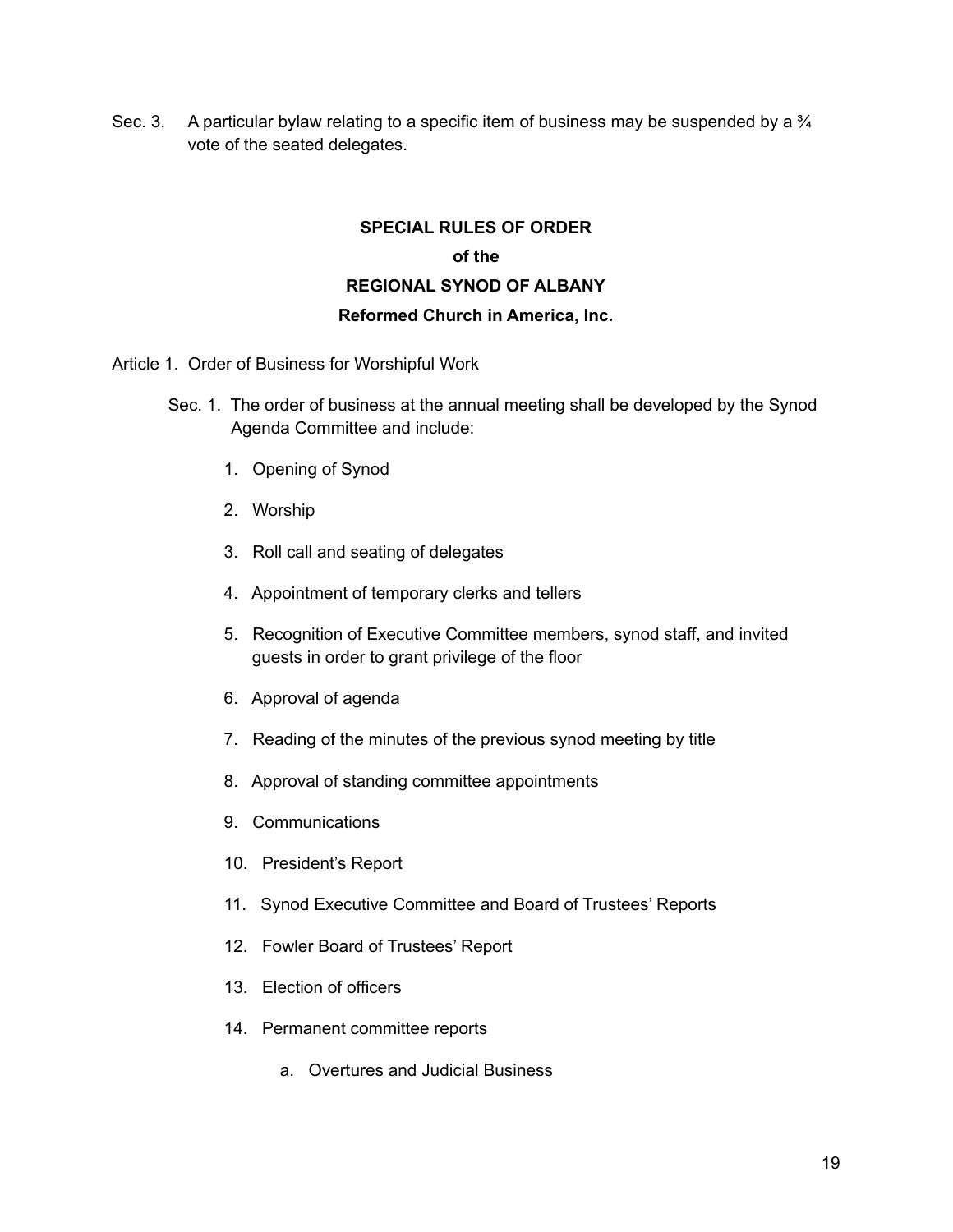Sec. 3. A particular bylaw relating to a specific item of business may be suspended by a  $\frac{3}{4}$ vote of the seated delegates.

## **SPECIAL RULES OF ORDER of the REGIONAL SYNOD OF ALBANY Reformed Church in America, Inc.**

Article 1. Order of Business for Worshipful Work

- Sec. 1. The order of business at the annual meeting shall be developed by the Synod Agenda Committee and include:
	- 1. Opening of Synod
	- 2. Worship
	- 3. Roll call and seating of delegates
	- 4. Appointment of temporary clerks and tellers
	- 5. Recognition of Executive Committee members, synod staff, and invited guests in order to grant privilege of the floor
	- 6. Approval of agenda
	- 7. Reading of the minutes of the previous synod meeting by title
	- 8. Approval of standing committee appointments
	- 9. Communications
	- 10. President's Report
	- 11. Synod Executive Committee and Board of Trustees' Reports
	- 12. Fowler Board of Trustees' Report
	- 13. Election of officers
	- 14. Permanent committee reports
		- a. Overtures and Judicial Business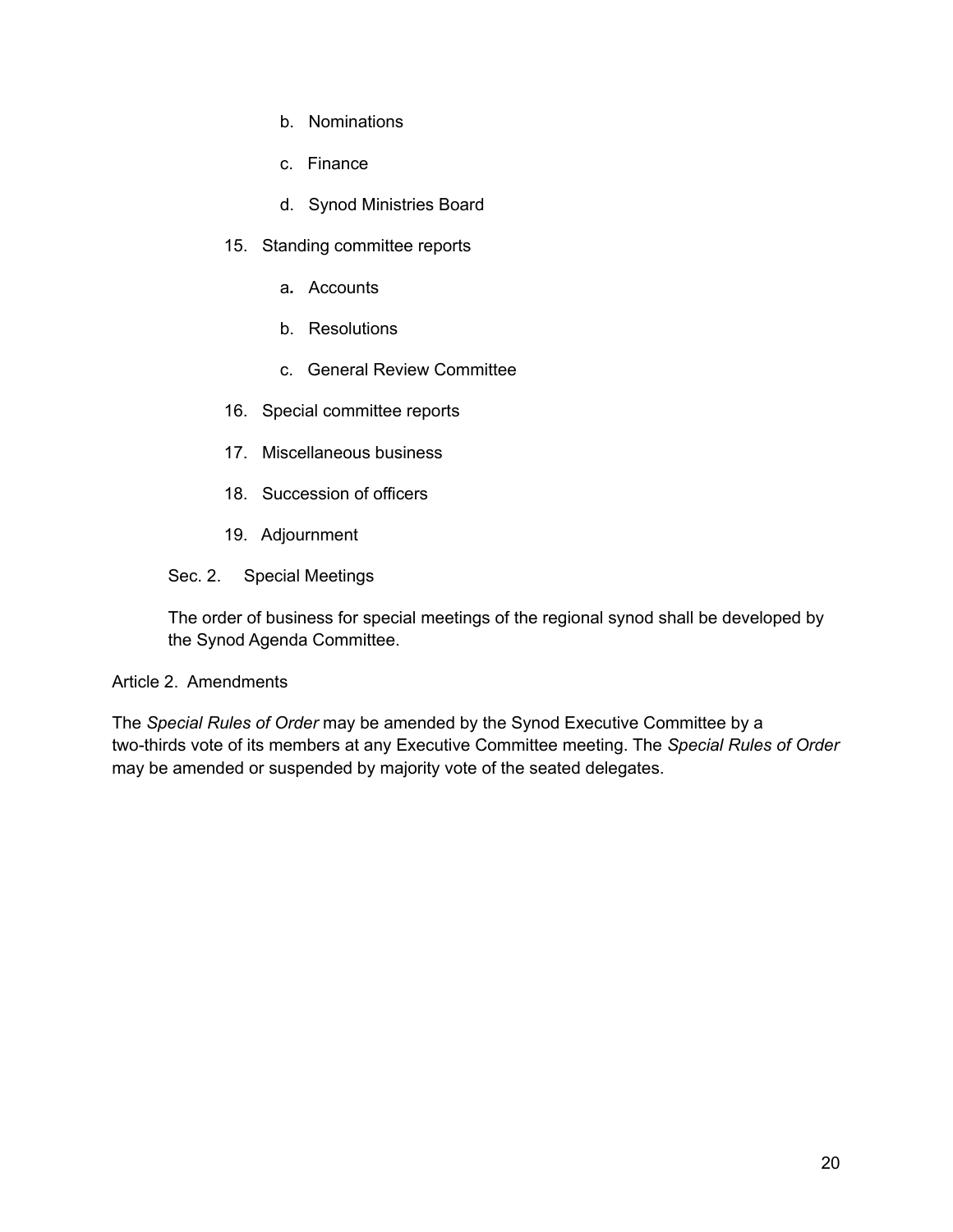- b. Nominations
- c. Finance
- d. Synod Ministries Board
- 15. Standing committee reports
	- a*.* Accounts
	- b. Resolutions
	- c. General Review Committee
- 16. Special committee reports
- 17. Miscellaneous business
- 18. Succession of officers
- 19. Adjournment
- Sec. 2. Special Meetings

The order of business for special meetings of the regional synod shall be developed by the Synod Agenda Committee.

#### Article 2. Amendments

The *Special Rules of Order* may be amended by the Synod Executive Committee by a two-thirds vote of its members at any Executive Committee meeting. The *Special Rules of Order* may be amended or suspended by majority vote of the seated delegates.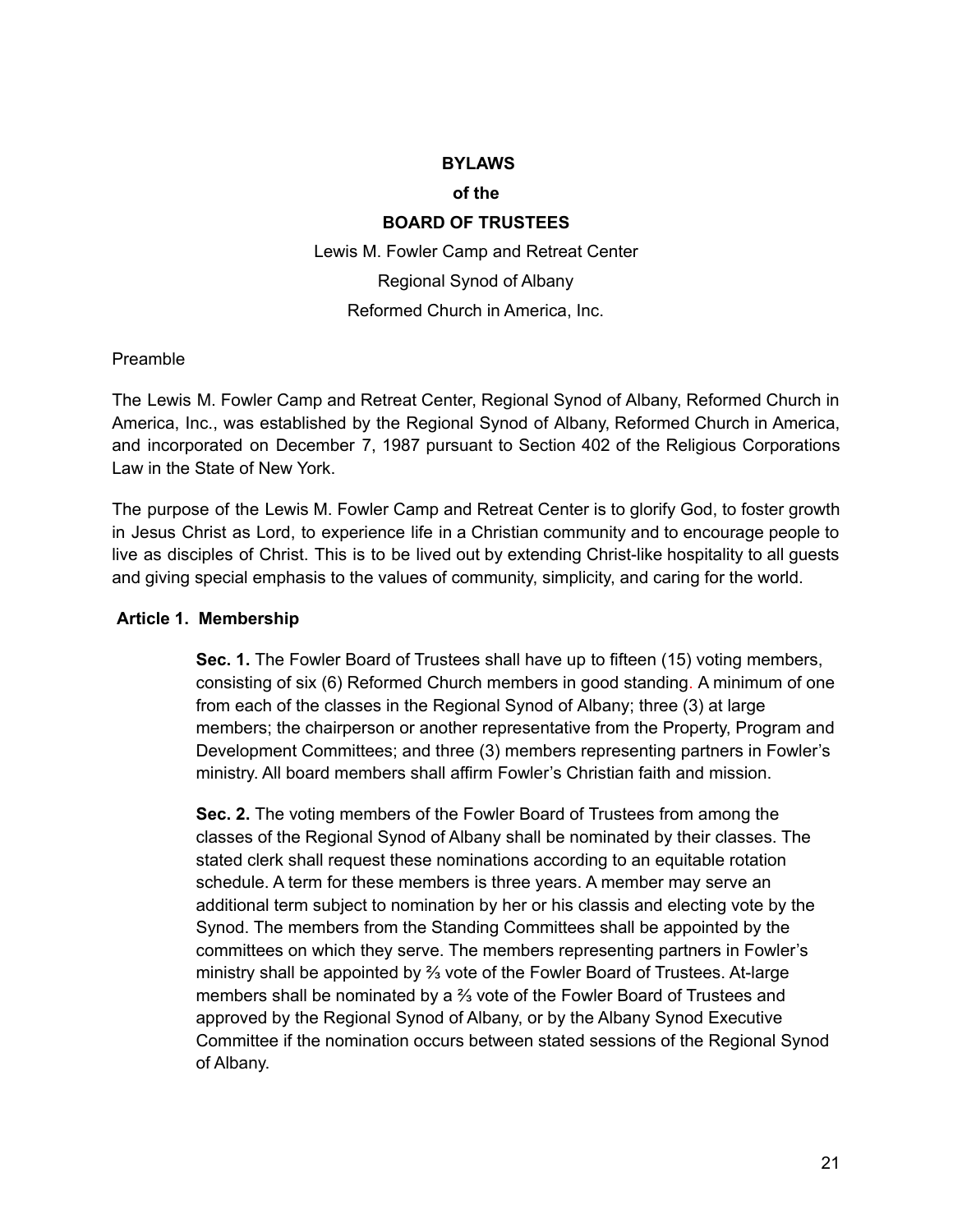#### **BYLAWS**

#### **of the**

#### **BOARD OF TRUSTEES**

Lewis M. Fowler Camp and Retreat Center Regional Synod of Albany Reformed Church in America, Inc.

#### Preamble

The Lewis M. Fowler Camp and Retreat Center, Regional Synod of Albany, Reformed Church in America, Inc., was established by the Regional Synod of Albany, Reformed Church in America, and incorporated on December 7, 1987 pursuant to Section 402 of the Religious Corporations Law in the State of New York.

The purpose of the Lewis M. Fowler Camp and Retreat Center is to glorify God, to foster growth in Jesus Christ as Lord, to experience life in a Christian community and to encourage people to live as disciples of Christ. This is to be lived out by extending Christ-like hospitality to all guests and giving special emphasis to the values of community, simplicity, and caring for the world.

#### **Article 1. Membership**

**Sec. 1.** The Fowler Board of Trustees shall have up to fifteen (15) voting members, consisting of six (6) Reformed Church members in good standing. A minimum of one from each of the classes in the Regional Synod of Albany; three (3) at large members; the chairperson or another representative from the Property, Program and Development Committees; and three (3) members representing partners in Fowler's ministry. All board members shall affirm Fowler's Christian faith and mission.

**Sec. 2.** The voting members of the Fowler Board of Trustees from among the classes of the Regional Synod of Albany shall be nominated by their classes. The stated clerk shall request these nominations according to an equitable rotation schedule. A term for these members is three years. A member may serve an additional term subject to nomination by her or his classis and electing vote by the Synod. The members from the Standing Committees shall be appointed by the committees on which they serve. The members representing partners in Fowler's ministry shall be appointed by ⅔ vote of the Fowler Board of Trustees. At-large members shall be nominated by a ⅔ vote of the Fowler Board of Trustees and approved by the Regional Synod of Albany, or by the Albany Synod Executive Committee if the nomination occurs between stated sessions of the Regional Synod of Albany.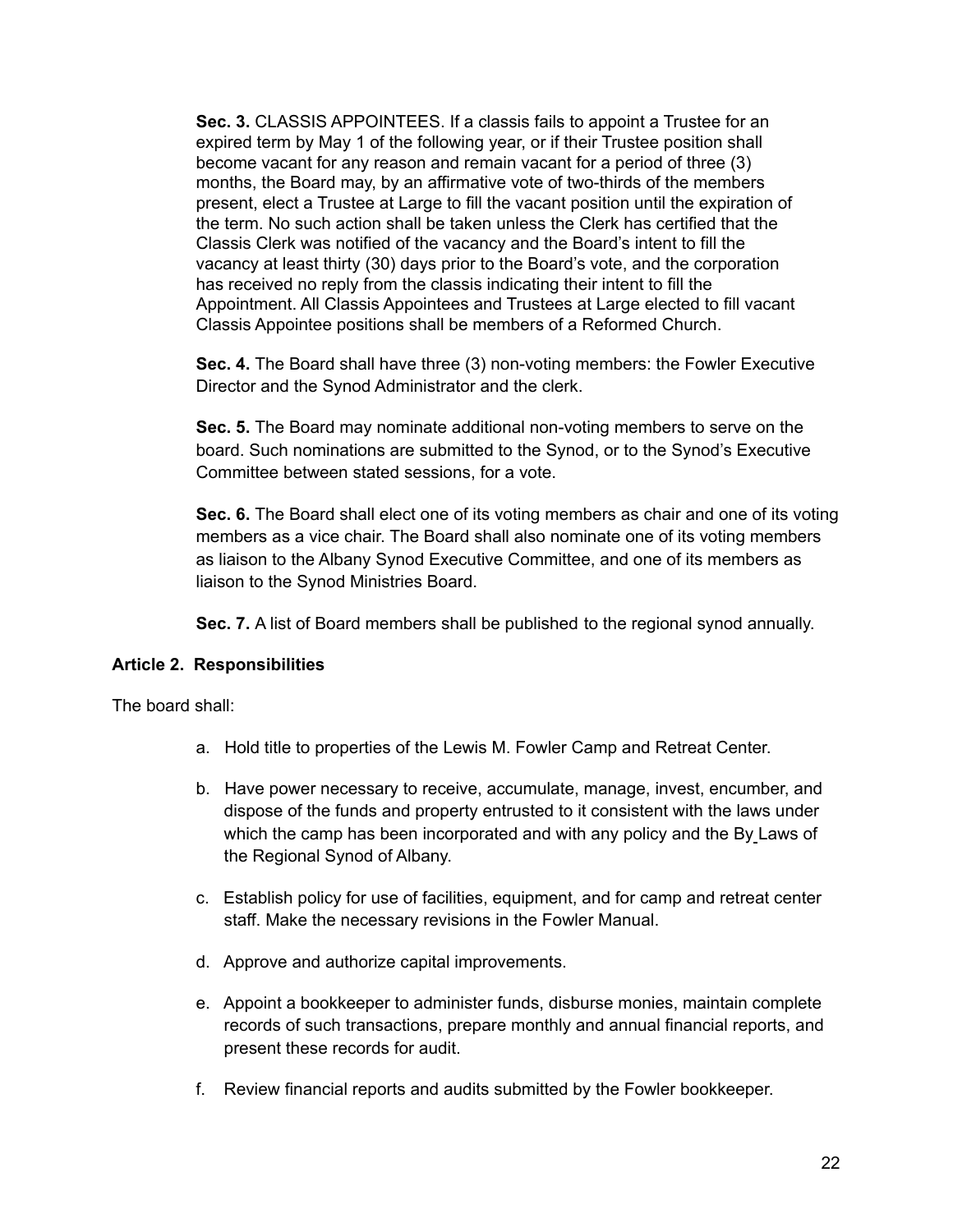**Sec. 3.** CLASSIS APPOINTEES. If a classis fails to appoint a Trustee for an expired term by May 1 of the following year, or if their Trustee position shall become vacant for any reason and remain vacant for a period of three (3) months, the Board may, by an affirmative vote of two-thirds of the members present, elect a Trustee at Large to fill the vacant position until the expiration of the term. No such action shall be taken unless the Clerk has certified that the Classis Clerk was notified of the vacancy and the Board's intent to fill the vacancy at least thirty (30) days prior to the Board's vote, and the corporation has received no reply from the classis indicating their intent to fill the Appointment. All Classis Appointees and Trustees at Large elected to fill vacant Classis Appointee positions shall be members of a Reformed Church.

**Sec. 4.** The Board shall have three (3) non-voting members: the Fowler Executive Director and the Synod Administrator and the clerk.

**Sec. 5.** The Board may nominate additional non-voting members to serve on the board. Such nominations are submitted to the Synod, or to the Synod's Executive Committee between stated sessions, for a vote.

**Sec. 6.** The Board shall elect one of its voting members as chair and one of its voting members as a vice chair. The Board shall also nominate one of its voting members as liaison to the Albany Synod Executive Committee, and one of its members as liaison to the Synod Ministries Board.

**Sec. 7.** A list of Board members shall be published to the regional synod annually.

#### **Article 2. Responsibilities**

The board shall:

- a. Hold title to properties of the Lewis M. Fowler Camp and Retreat Center.
- b. Have power necessary to receive, accumulate, manage, invest, encumber, and dispose of the funds and property entrusted to it consistent with the laws under which the camp has been incorporated and with any policy and the By Laws of the Regional Synod of Albany.
- c. Establish policy for use of facilities, equipment, and for camp and retreat center staff. Make the necessary revisions in the Fowler Manual.
- d. Approve and authorize capital improvements.
- e. Appoint a bookkeeper to administer funds, disburse monies, maintain complete records of such transactions, prepare monthly and annual financial reports, and present these records for audit.
- f. Review financial reports and audits submitted by the Fowler bookkeeper.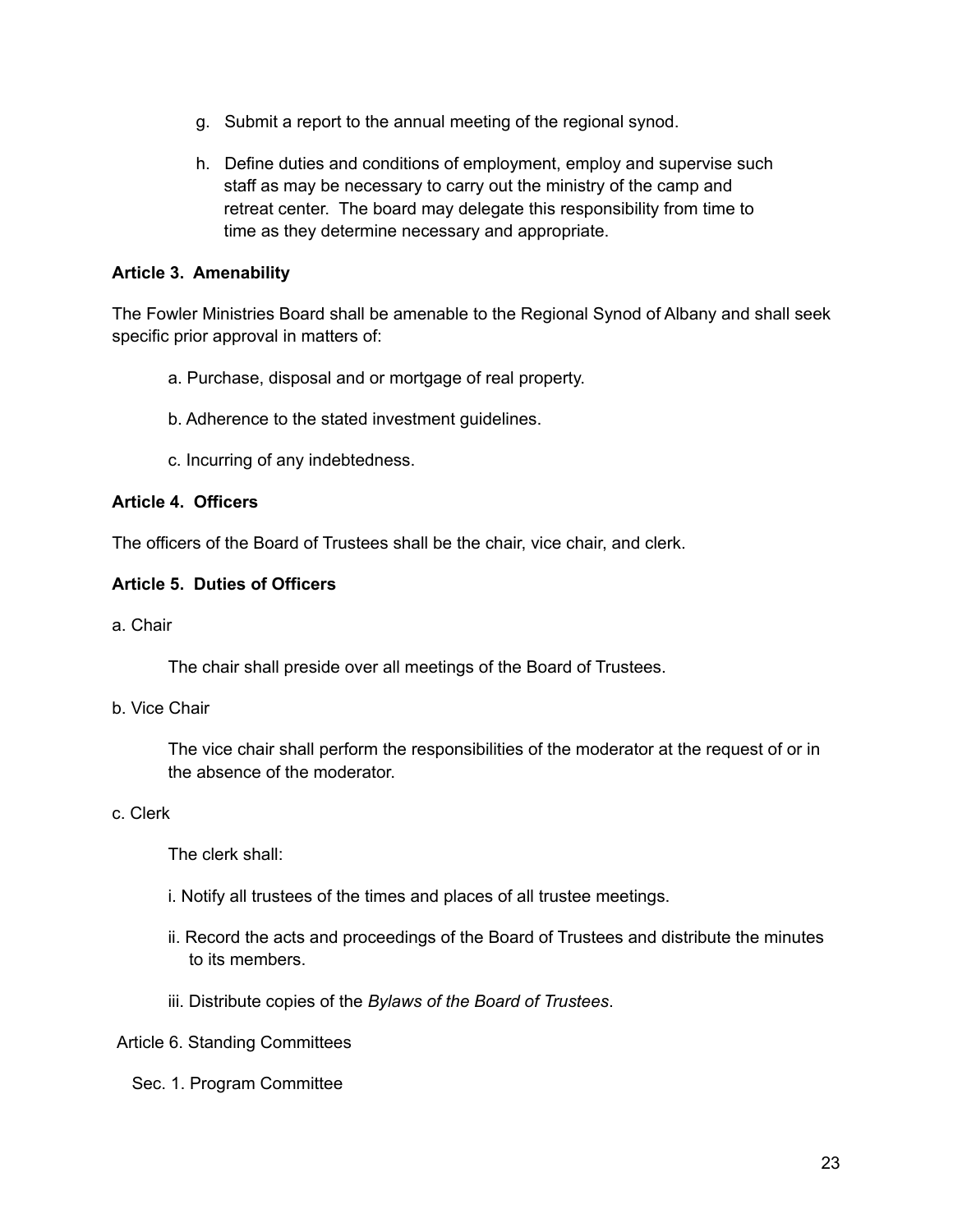- g. Submit a report to the annual meeting of the regional synod.
- h. Define duties and conditions of employment, employ and supervise such staff as may be necessary to carry out the ministry of the camp and retreat center. The board may delegate this responsibility from time to time as they determine necessary and appropriate.

#### **Article 3. Amenability**

The Fowler Ministries Board shall be amenable to the Regional Synod of Albany and shall seek specific prior approval in matters of:

- a. Purchase, disposal and or mortgage of real property.
- b. Adherence to the stated investment guidelines.
- c. Incurring of any indebtedness.

#### **Article 4. Officers**

The officers of the Board of Trustees shall be the chair, vice chair, and clerk.

#### **Article 5. Duties of Officers**

a. Chair

The chair shall preside over all meetings of the Board of Trustees.

#### b. Vice Chair

The vice chair shall perform the responsibilities of the moderator at the request of or in the absence of the moderator.

#### c. Clerk

The clerk shall:

- i. Notify all trustees of the times and places of all trustee meetings.
- ii. Record the acts and proceedings of the Board of Trustees and distribute the minutes to its members.
- iii. Distribute copies of the *Bylaws of the Board of Trustees*.

#### Article 6. Standing Committees

Sec. 1. Program Committee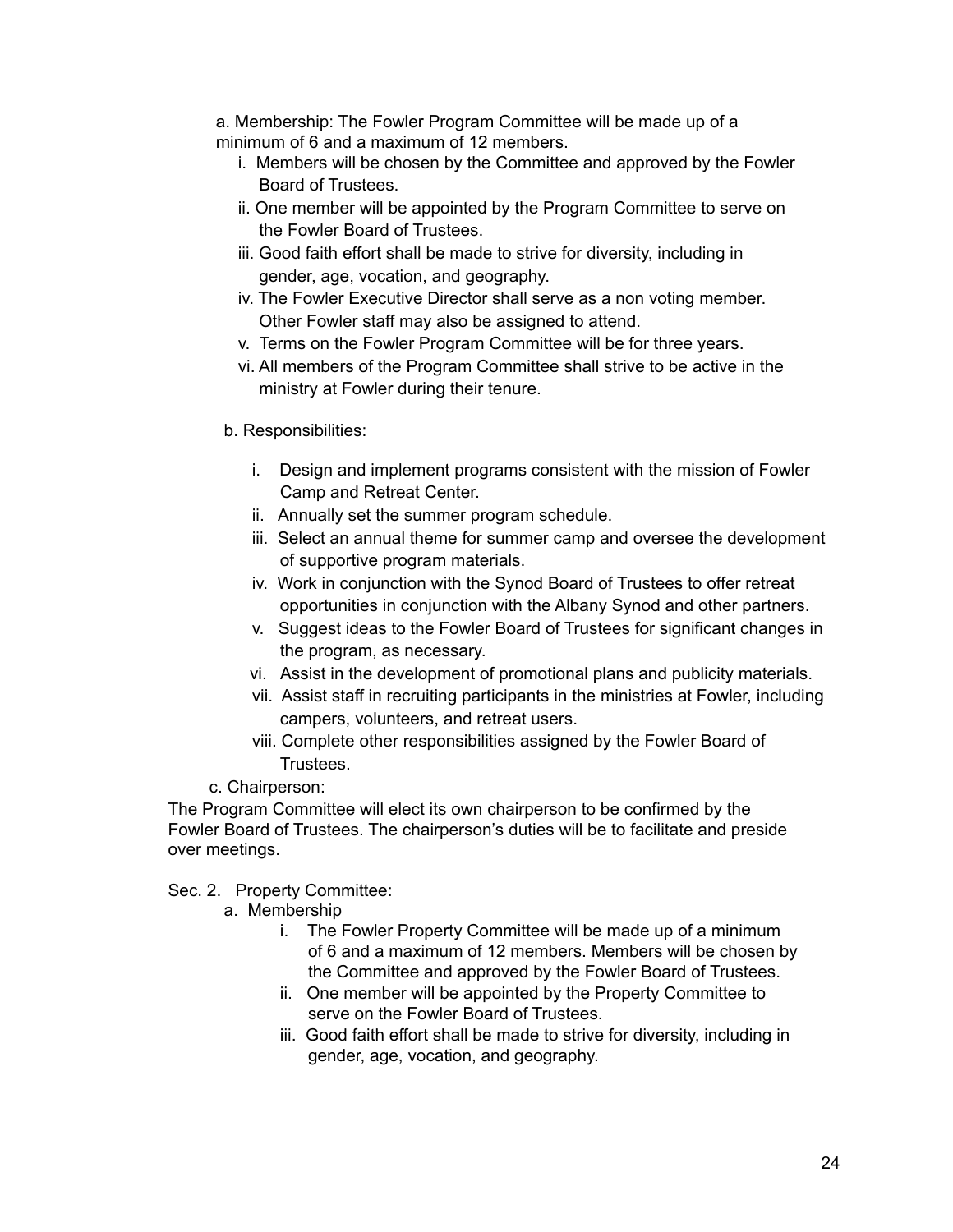a. Membership: The Fowler Program Committee will be made up of a minimum of 6 and a maximum of 12 members.

- i. Members will be chosen by the Committee and approved by the Fowler Board of Trustees.
- ii. One member will be appointed by the Program Committee to serve on the Fowler Board of Trustees.
- iii. Good faith effort shall be made to strive for diversity, including in gender, age, vocation, and geography.
- iv. The Fowler Executive Director shall serve as a non voting member. Other Fowler staff may also be assigned to attend.
- v. Terms on the Fowler Program Committee will be for three years.
- vi. All members of the Program Committee shall strive to be active in the ministry at Fowler during their tenure.
- b. Responsibilities:
	- i. Design and implement programs consistent with the mission of Fowler Camp and Retreat Center.
	- ii. Annually set the summer program schedule.
	- iii. Select an annual theme for summer camp and oversee the development of supportive program materials.
	- iv. Work in conjunction with the Synod Board of Trustees to offer retreat opportunities in conjunction with the Albany Synod and other partners.
	- v. Suggest ideas to the Fowler Board of Trustees for significant changes in the program, as necessary.
	- vi. Assist in the development of promotional plans and publicity materials.
	- vii. Assist staff in recruiting participants in the ministries at Fowler, including campers, volunteers, and retreat users.
	- viii. Complete other responsibilities assigned by the Fowler Board of Trustees.
- c. Chairperson:

The Program Committee will elect its own chairperson to be confirmed by the Fowler Board of Trustees. The chairperson's duties will be to facilitate and preside over meetings.

Sec. 2. Property Committee:

- a. Membership
	- i. The Fowler Property Committee will be made up of a minimum of 6 and a maximum of 12 members. Members will be chosen by the Committee and approved by the Fowler Board of Trustees.
	- ii. One member will be appointed by the Property Committee to serve on the Fowler Board of Trustees.
	- iii. Good faith effort shall be made to strive for diversity, including in gender, age, vocation, and geography.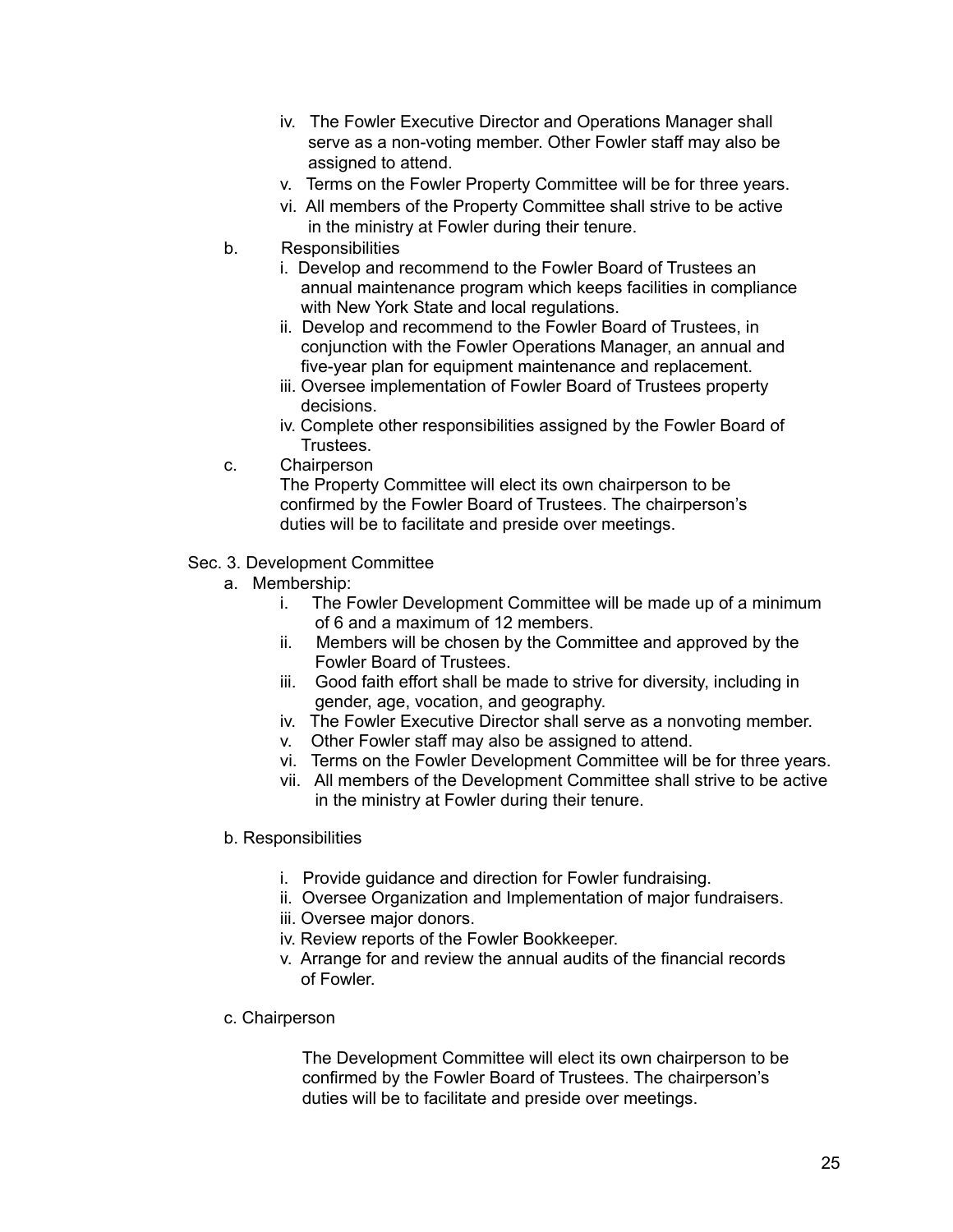- iv. The Fowler Executive Director and Operations Manager shall serve as a non-voting member. Other Fowler staff may also be assigned to attend.
- v. Terms on the Fowler Property Committee will be for three years.
- vi. All members of the Property Committee shall strive to be active in the ministry at Fowler during their tenure.
- b. Responsibilities
	- i. Develop and recommend to the Fowler Board of Trustees an annual maintenance program which keeps facilities in compliance with New York State and local regulations.
	- ii. Develop and recommend to the Fowler Board of Trustees, in conjunction with the Fowler Operations Manager, an annual and five-year plan for equipment maintenance and replacement.
	- iii. Oversee implementation of Fowler Board of Trustees property decisions.
	- iv. Complete other responsibilities assigned by the Fowler Board of Trustees.
- c. Chairperson

The Property Committee will elect its own chairperson to be confirmed by the Fowler Board of Trustees. The chairperson's duties will be to facilitate and preside over meetings.

#### Sec. 3. Development Committee

- a. Membership:
	- i. The Fowler Development Committee will be made up of a minimum of 6 and a maximum of 12 members.
	- ii. Members will be chosen by the Committee and approved by the Fowler Board of Trustees.
	- iii. Good faith effort shall be made to strive for diversity, including in gender, age, vocation, and geography.
	- iv. The Fowler Executive Director shall serve as a nonvoting member.
	- v. Other Fowler staff may also be assigned to attend.
	- vi. Terms on the Fowler Development Committee will be for three years.
	- vii. All members of the Development Committee shall strive to be active in the ministry at Fowler during their tenure.
- b. Responsibilities
	- i. Provide guidance and direction for Fowler fundraising.
	- ii. Oversee Organization and Implementation of major fundraisers.
	- iii. Oversee major donors.
	- iv. Review reports of the Fowler Bookkeeper.
	- v. Arrange for and review the annual audits of the financial records of Fowler.
- c. Chairperson

The Development Committee will elect its own chairperson to be confirmed by the Fowler Board of Trustees. The chairperson's duties will be to facilitate and preside over meetings.